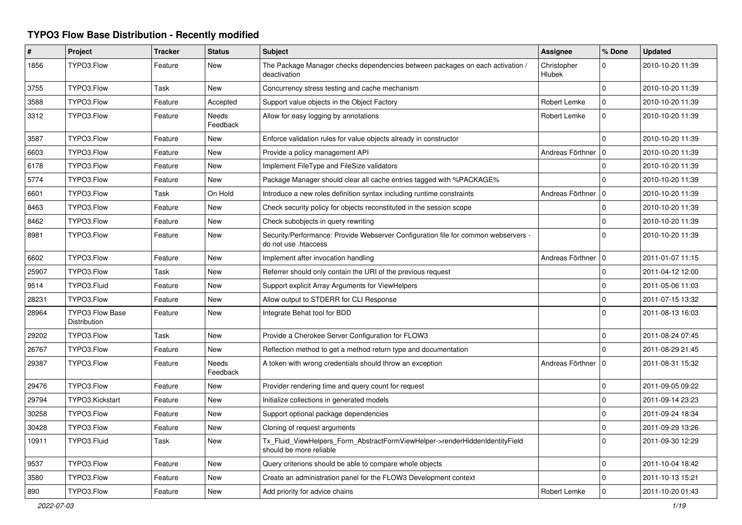## **TYPO3 Flow Base Distribution - Recently modified**

| $\#$  | Project                                | <b>Tracker</b> | <b>Status</b>     | <b>Subject</b>                                                                                             | <b>Assignee</b>       | % Done       | <b>Updated</b>   |
|-------|----------------------------------------|----------------|-------------------|------------------------------------------------------------------------------------------------------------|-----------------------|--------------|------------------|
| 1856  | TYPO3.Flow                             | Feature        | New               | The Package Manager checks dependencies between packages on each activation /<br>deactivation              | Christopher<br>Hlubek | 0            | 2010-10-20 11:39 |
| 3755  | TYPO3.Flow                             | Task           | New               | Concurrency stress testing and cache mechanism                                                             |                       | $\Omega$     | 2010-10-20 11:39 |
| 3588  | TYPO3.Flow                             | Feature        | Accepted          | Support value objects in the Object Factory                                                                | Robert Lemke          | $\mathbf 0$  | 2010-10-20 11:39 |
| 3312  | TYPO3.Flow                             | Feature        | Needs<br>Feedback | Allow for easy logging by annotations                                                                      | Robert Lemke          | $\Omega$     | 2010-10-20 11:39 |
| 3587  | TYPO3.Flow                             | Feature        | New               | Enforce validation rules for value objects already in constructor                                          |                       | $\Omega$     | 2010-10-20 11:39 |
| 6603  | TYPO3.Flow                             | Feature        | New               | Provide a policy management API                                                                            | Andreas Förthner   0  |              | 2010-10-20 11:39 |
| 6178  | TYPO3.Flow                             | Feature        | New               | Implement FileType and FileSize validators                                                                 |                       | $\Omega$     | 2010-10-20 11:39 |
| 5774  | TYPO3.Flow                             | Feature        | New               | Package Manager should clear all cache entries tagged with %PACKAGE%                                       |                       | $\Omega$     | 2010-10-20 11:39 |
| 6601  | TYPO3.Flow                             | Task           | On Hold           | Introduce a new roles definition syntax including runtime constraints                                      | Andreas Förthner   0  |              | 2010-10-20 11:39 |
| 8463  | TYPO3.Flow                             | Feature        | <b>New</b>        | Check security policy for objects reconstituted in the session scope                                       |                       | $\Omega$     | 2010-10-20 11:39 |
| 8462  | TYPO3.Flow                             | Feature        | New               | Check subobjects in query rewriting                                                                        |                       | $\mathbf 0$  | 2010-10-20 11:39 |
| 8981  | TYPO3.Flow                             | Feature        | New               | Security/Performance: Provide Webserver Configuration file for common webservers -<br>do not use .htaccess |                       | $\Omega$     | 2010-10-20 11:39 |
| 6602  | TYPO3.Flow                             | Feature        | <b>New</b>        | Implement after invocation handling                                                                        | Andreas Förthner   0  |              | 2011-01-07 11:15 |
| 25907 | TYPO3.Flow                             | Task           | New               | Referrer should only contain the URI of the previous request                                               |                       | $\mathbf 0$  | 2011-04-12 12:00 |
| 9514  | TYPO3.Fluid                            | Feature        | <b>New</b>        | Support explicit Array Arguments for ViewHelpers                                                           |                       | $\Omega$     | 2011-05-06 11:03 |
| 28231 | TYPO3.Flow                             | Feature        | New               | Allow output to STDERR for CLI Response                                                                    |                       | $\mathbf 0$  | 2011-07-15 13:32 |
| 28964 | <b>TYPO3 Flow Base</b><br>Distribution | Feature        | New               | Integrate Behat tool for BDD                                                                               |                       | $\Omega$     | 2011-08-13 16:03 |
| 29202 | TYPO3.Flow                             | Task           | New               | Provide a Cherokee Server Configuration for FLOW3                                                          |                       | 0            | 2011-08-24 07:45 |
| 26767 | TYPO3.Flow                             | Feature        | New               | Reflection method to get a method return type and documentation                                            |                       | $\Omega$     | 2011-08-29 21:45 |
| 29387 | TYPO3.Flow                             | Feature        | Needs<br>Feedback | A token with wrong credentials should throw an exception                                                   | Andreas Förthner   0  |              | 2011-08-31 15:32 |
| 29476 | TYPO3.Flow                             | Feature        | New               | Provider rendering time and query count for request                                                        |                       | $\mathbf 0$  | 2011-09-05 09:22 |
| 29794 | TYPO3.Kickstart                        | Feature        | <b>New</b>        | Initialize collections in generated models                                                                 |                       | $\Omega$     | 2011-09-14 23:23 |
| 30258 | TYPO3.Flow                             | Feature        | New               | Support optional package dependencies                                                                      |                       | $\mathbf 0$  | 2011-09-24 18:34 |
| 30428 | TYPO3.Flow                             | Feature        | New               | Cloning of request arguments                                                                               |                       | $\mathsf{O}$ | 2011-09-29 13:26 |
| 10911 | TYPO3.Fluid                            | Task           | New               | Tx Fluid ViewHelpers Form AbstractFormViewHelper->renderHiddenIdentityField<br>should be more reliable     |                       | $\Omega$     | 2011-09-30 12:29 |
| 9537  | TYPO3.Flow                             | Feature        | <b>New</b>        | Query criterions should be able to compare whole objects                                                   |                       | $\mathbf 0$  | 2011-10-04 18:42 |
| 3580  | TYPO3.Flow                             | Feature        | New               | Create an administration panel for the FLOW3 Development context                                           |                       | $\Omega$     | 2011-10-13 15:21 |
| 890   | TYPO3.Flow                             | Feature        | New               | Add priority for advice chains                                                                             | Robert Lemke          | $\mathbf 0$  | 2011-10-20 01:43 |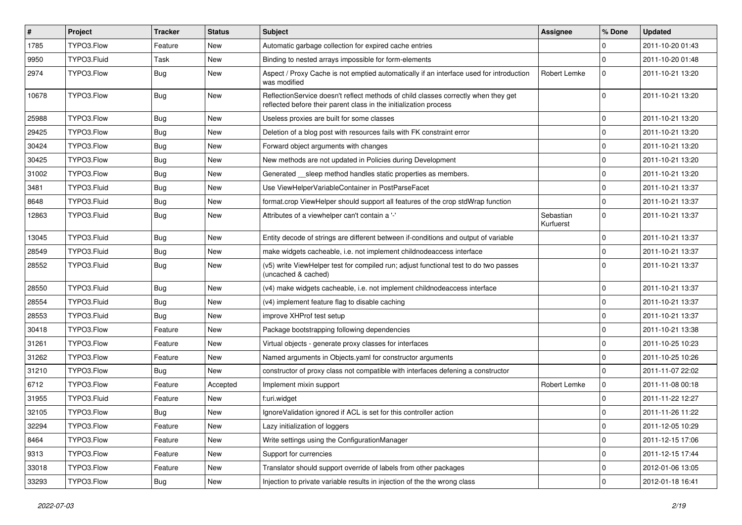| $\vert$ # | Project     | <b>Tracker</b> | <b>Status</b> | <b>Subject</b>                                                                                                                                          | Assignee               | % Done      | <b>Updated</b>   |
|-----------|-------------|----------------|---------------|---------------------------------------------------------------------------------------------------------------------------------------------------------|------------------------|-------------|------------------|
| 1785      | TYPO3.Flow  | Feature        | New           | Automatic garbage collection for expired cache entries                                                                                                  |                        | 0           | 2011-10-20 01:43 |
| 9950      | TYPO3.Fluid | Task           | New           | Binding to nested arrays impossible for form-elements                                                                                                   |                        | $\mathbf 0$ | 2011-10-20 01:48 |
| 2974      | TYPO3.Flow  | Bug            | New           | Aspect / Proxy Cache is not emptied automatically if an interface used for introduction<br>was modified                                                 | Robert Lemke           | $\mathbf 0$ | 2011-10-21 13:20 |
| 10678     | TYPO3.Flow  | <b>Bug</b>     | New           | ReflectionService doesn't reflect methods of child classes correctly when they get<br>reflected before their parent class in the initialization process |                        | $\Omega$    | 2011-10-21 13:20 |
| 25988     | TYPO3.Flow  | Bug            | New           | Useless proxies are built for some classes                                                                                                              |                        | $\mathbf 0$ | 2011-10-21 13:20 |
| 29425     | TYPO3.Flow  | Bug            | New           | Deletion of a blog post with resources fails with FK constraint error                                                                                   |                        | $\mathbf 0$ | 2011-10-21 13:20 |
| 30424     | TYPO3.Flow  | Bug            | New           | Forward object arguments with changes                                                                                                                   |                        | $\mathbf 0$ | 2011-10-21 13:20 |
| 30425     | TYPO3.Flow  | <b>Bug</b>     | New           | New methods are not updated in Policies during Development                                                                                              |                        | $\mathbf 0$ | 2011-10-21 13:20 |
| 31002     | TYPO3.Flow  | Bug            | New           | Generated sleep method handles static properties as members.                                                                                            |                        | $\mathbf 0$ | 2011-10-21 13:20 |
| 3481      | TYPO3.Fluid | Bug            | New           | Use ViewHelperVariableContainer in PostParseFacet                                                                                                       |                        | $\mathbf 0$ | 2011-10-21 13:37 |
| 8648      | TYPO3.Fluid | <b>Bug</b>     | New           | format.crop ViewHelper should support all features of the crop stdWrap function                                                                         |                        | $\mathbf 0$ | 2011-10-21 13:37 |
| 12863     | TYPO3.Fluid | Bug            | New           | Attributes of a viewhelper can't contain a '-'                                                                                                          | Sebastian<br>Kurfuerst | $\Omega$    | 2011-10-21 13:37 |
| 13045     | TYPO3.Fluid | Bug            | New           | Entity decode of strings are different between if-conditions and output of variable                                                                     |                        | $\mathbf 0$ | 2011-10-21 13:37 |
| 28549     | TYPO3.Fluid | Bug            | New           | make widgets cacheable, i.e. not implement childnodeaccess interface                                                                                    |                        | $\mathbf 0$ | 2011-10-21 13:37 |
| 28552     | TYPO3.Fluid | <b>Bug</b>     | New           | (v5) write ViewHelper test for compiled run; adjust functional test to do two passes<br>(uncached & cached)                                             |                        | $\Omega$    | 2011-10-21 13:37 |
| 28550     | TYPO3.Fluid | <b>Bug</b>     | New           | (v4) make widgets cacheable, i.e. not implement childnodeaccess interface                                                                               |                        | $\mathbf 0$ | 2011-10-21 13:37 |
| 28554     | TYPO3.Fluid | <b>Bug</b>     | New           | (v4) implement feature flag to disable caching                                                                                                          |                        | $\mathbf 0$ | 2011-10-21 13:37 |
| 28553     | TYPO3.Fluid | Bug            | New           | improve XHProf test setup                                                                                                                               |                        | $\mathbf 0$ | 2011-10-21 13:37 |
| 30418     | TYPO3.Flow  | Feature        | New           | Package bootstrapping following dependencies                                                                                                            |                        | $\mathbf 0$ | 2011-10-21 13:38 |
| 31261     | TYPO3.Flow  | Feature        | New           | Virtual objects - generate proxy classes for interfaces                                                                                                 |                        | $\mathbf 0$ | 2011-10-25 10:23 |
| 31262     | TYPO3.Flow  | Feature        | New           | Named arguments in Objects.yaml for constructor arguments                                                                                               |                        | $\mathbf 0$ | 2011-10-25 10:26 |
| 31210     | TYPO3.Flow  | <b>Bug</b>     | New           | constructor of proxy class not compatible with interfaces defening a constructor                                                                        |                        | $\Omega$    | 2011-11-07 22:02 |
| 6712      | TYPO3.Flow  | Feature        | Accepted      | Implement mixin support                                                                                                                                 | <b>Robert Lemke</b>    | $\mathbf 0$ | 2011-11-08 00:18 |
| 31955     | TYPO3.Fluid | Feature        | New           | f:uri.widget                                                                                                                                            |                        | $\mathbf 0$ | 2011-11-22 12:27 |
| 32105     | TYPO3.Flow  | Bug            | New           | Ignore Validation ignored if ACL is set for this controller action                                                                                      |                        | $\mathbf 0$ | 2011-11-26 11:22 |
| 32294     | TYPO3.Flow  | Feature        | New           | Lazy initialization of loggers                                                                                                                          |                        | 0           | 2011-12-05 10:29 |
| 8464      | TYPO3.Flow  | Feature        | New           | Write settings using the ConfigurationManager                                                                                                           |                        | $\mathbf 0$ | 2011-12-15 17:06 |
| 9313      | TYPO3.Flow  | Feature        | New           | Support for currencies                                                                                                                                  |                        | $\mathbf 0$ | 2011-12-15 17:44 |
| 33018     | TYPO3.Flow  | Feature        | New           | Translator should support override of labels from other packages                                                                                        |                        | $\mathbf 0$ | 2012-01-06 13:05 |
| 33293     | TYPO3.Flow  | Bug            | New           | Injection to private variable results in injection of the the wrong class                                                                               |                        | 0           | 2012-01-18 16:41 |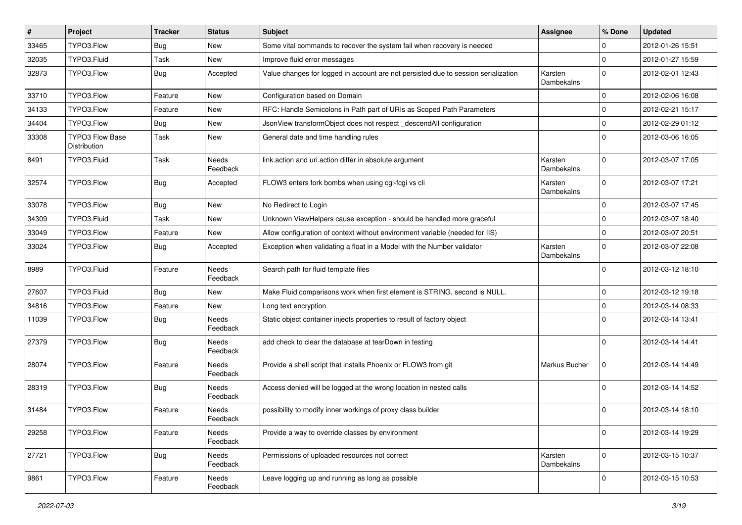| #     | Project                                | <b>Tracker</b> | <b>Status</b>            | <b>Subject</b>                                                                     | <b>Assignee</b>       | % Done      | <b>Updated</b>   |
|-------|----------------------------------------|----------------|--------------------------|------------------------------------------------------------------------------------|-----------------------|-------------|------------------|
| 33465 | TYPO3.Flow                             | Bug            | New                      | Some vital commands to recover the system fail when recovery is needed             |                       | 0           | 2012-01-26 15:51 |
| 32035 | TYPO3.Fluid                            | Task           | <b>New</b>               | Improve fluid error messages                                                       |                       | $\mathbf 0$ | 2012-01-27 15:59 |
| 32873 | TYPO3.Flow                             | Bug            | Accepted                 | Value changes for logged in account are not persisted due to session serialization | Karsten<br>Dambekalns | $\mathbf 0$ | 2012-02-01 12:43 |
| 33710 | TYPO3.Flow                             | Feature        | New                      | Configuration based on Domain                                                      |                       | 0           | 2012-02-06 16:08 |
| 34133 | TYPO3.Flow                             | Feature        | New                      | RFC: Handle Semicolons in Path part of URIs as Scoped Path Parameters              |                       | 0           | 2012-02-21 15:17 |
| 34404 | TYPO3.Flow                             | Bug            | New                      | JsonView transformObject does not respect _descendAll configuration                |                       | $\mathbf 0$ | 2012-02-29 01:12 |
| 33308 | <b>TYPO3 Flow Base</b><br>Distribution | Task           | New                      | General date and time handling rules                                               |                       | $\Omega$    | 2012-03-06 16:05 |
| 8491  | TYPO3.Fluid                            | Task           | Needs<br>Feedback        | link.action and uri.action differ in absolute argument                             | Karsten<br>Dambekalns | $\Omega$    | 2012-03-07 17:05 |
| 32574 | TYPO3.Flow                             | Bug            | Accepted                 | FLOW3 enters fork bombs when using cgi-fcgi vs cli                                 | Karsten<br>Dambekalns | $\Omega$    | 2012-03-07 17:21 |
| 33078 | TYPO3.Flow                             | Bug            | New                      | No Redirect to Login                                                               |                       | $\mathbf 0$ | 2012-03-07 17:45 |
| 34309 | TYPO3.Fluid                            | Task           | New                      | Unknown ViewHelpers cause exception - should be handled more graceful              |                       | 0           | 2012-03-07 18:40 |
| 33049 | TYPO3.Flow                             | Feature        | New                      | Allow configuration of context without environment variable (needed for IIS)       |                       | $\mathbf 0$ | 2012-03-07 20:51 |
| 33024 | TYPO3.Flow                             | Bug            | Accepted                 | Exception when validating a float in a Model with the Number validator             | Karsten<br>Dambekalns | $\mathbf 0$ | 2012-03-07 22:08 |
| 8989  | TYPO3.Fluid                            | Feature        | Needs<br>Feedback        | Search path for fluid template files                                               |                       | $\mathbf 0$ | 2012-03-12 18:10 |
| 27607 | TYPO3.Fluid                            | Bug            | New                      | Make Fluid comparisons work when first element is STRING, second is NULL.          |                       | 0           | 2012-03-12 19:18 |
| 34816 | TYPO3.Flow                             | Feature        | New                      | Long text encryption                                                               |                       | 0           | 2012-03-14 08:33 |
| 11039 | TYPO3.Flow                             | <b>Bug</b>     | Needs<br>Feedback        | Static object container injects properties to result of factory object             |                       | $\Omega$    | 2012-03-14 13:41 |
| 27379 | TYPO3.Flow                             | <b>Bug</b>     | Needs<br>Feedback        | add check to clear the database at tearDown in testing                             |                       | 0           | 2012-03-14 14:41 |
| 28074 | TYPO3.Flow                             | Feature        | <b>Needs</b><br>Feedback | Provide a shell script that installs Phoenix or FLOW3 from git                     | Markus Bucher         | 0           | 2012-03-14 14:49 |
| 28319 | TYPO3.Flow                             | <b>Bug</b>     | <b>Needs</b><br>Feedback | Access denied will be logged at the wrong location in nested calls                 |                       | $\Omega$    | 2012-03-14 14:52 |
| 31484 | TYPO3.Flow                             | Feature        | Needs<br>Feedback        | possibility to modify inner workings of proxy class builder                        |                       | $\Omega$    | 2012-03-14 18:10 |
| 29258 | TYPO3.Flow                             | Feature        | Needs<br>Feedback        | Provide a way to override classes by environment                                   |                       | $\mathbf 0$ | 2012-03-14 19:29 |
| 27721 | TYPO3.Flow                             | <b>Bug</b>     | Needs<br>Feedback        | Permissions of uploaded resources not correct                                      | Karsten<br>Dambekalns | $\mathbf 0$ | 2012-03-15 10:37 |
| 9861  | TYPO3.Flow                             | Feature        | Needs<br>Feedback        | Leave logging up and running as long as possible                                   |                       | $\mathbf 0$ | 2012-03-15 10:53 |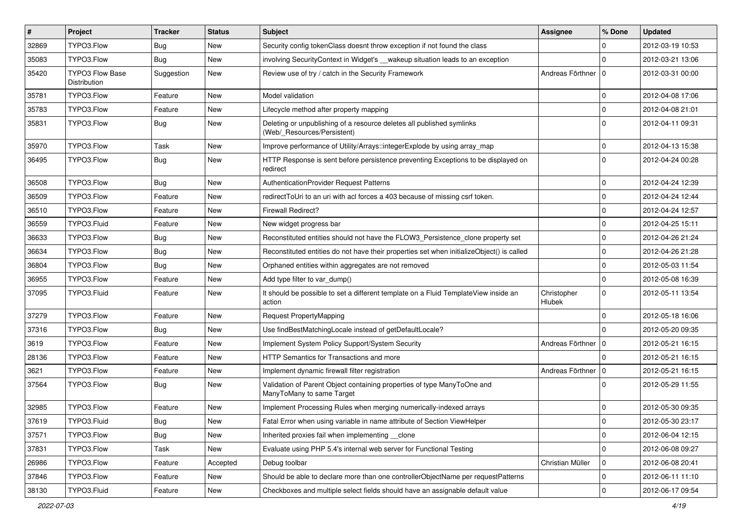| #     | Project                                | <b>Tracker</b> | <b>Status</b> | <b>Subject</b>                                                                                       | <b>Assignee</b>              | % Done       | <b>Updated</b>   |
|-------|----------------------------------------|----------------|---------------|------------------------------------------------------------------------------------------------------|------------------------------|--------------|------------------|
| 32869 | TYPO3.Flow                             | <b>Bug</b>     | New           | Security config tokenClass doesnt throw exception if not found the class                             |                              | 0            | 2012-03-19 10:53 |
| 35083 | TYPO3.Flow                             | Bug            | New           | involving SecurityContext in Widget's __wakeup situation leads to an exception                       |                              | $\Omega$     | 2012-03-21 13:06 |
| 35420 | <b>TYPO3 Flow Base</b><br>Distribution | Suggestion     | New           | Review use of try / catch in the Security Framework                                                  | Andreas Förthner   0         |              | 2012-03-31 00:00 |
| 35781 | TYPO3.Flow                             | Feature        | New           | Model validation                                                                                     |                              | 0            | 2012-04-08 17:06 |
| 35783 | TYPO3.Flow                             | Feature        | New           | Lifecycle method after property mapping                                                              |                              | $\mathbf 0$  | 2012-04-08 21:01 |
| 35831 | TYPO3.Flow                             | Bug            | New           | Deleting or unpublishing of a resource deletes all published symlinks<br>(Web/_Resources/Persistent) |                              | $\Omega$     | 2012-04-11 09:31 |
| 35970 | TYPO3.Flow                             | Task           | New           | Improve performance of Utility/Arrays::integerExplode by using array_map                             |                              | $\mathbf 0$  | 2012-04-13 15:38 |
| 36495 | TYPO3.Flow                             | <b>Bug</b>     | New           | HTTP Response is sent before persistence preventing Exceptions to be displayed on<br>redirect        |                              | $\Omega$     | 2012-04-24 00:28 |
| 36508 | TYPO3.Flow                             | <b>Bug</b>     | New           | AuthenticationProvider Request Patterns                                                              |                              | $\mathbf 0$  | 2012-04-24 12:39 |
| 36509 | TYPO3.Flow                             | Feature        | New           | redirectToUri to an uri with acl forces a 403 because of missing csrf token.                         |                              | 0            | 2012-04-24 12:44 |
| 36510 | TYPO3.Flow                             | Feature        | New           | Firewall Redirect?                                                                                   |                              | 0            | 2012-04-24 12:57 |
| 36559 | TYPO3.Fluid                            | Feature        | New           | New widget progress bar                                                                              |                              | $\mathbf 0$  | 2012-04-25 15:11 |
| 36633 | TYPO3.Flow                             | Bug            | New           | Reconstituted entities should not have the FLOW3 Persistence clone property set                      |                              | $\mathbf 0$  | 2012-04-26 21:24 |
| 36634 | TYPO3.Flow                             | Bug            | New           | Reconstituted entities do not have their properties set when initializeObject() is called            |                              | $\mathbf 0$  | 2012-04-26 21:28 |
| 36804 | TYPO3.Flow                             | <b>Bug</b>     | New           | Orphaned entities within aggregates are not removed                                                  |                              | 0            | 2012-05-03 11:54 |
| 36955 | TYPO3.Flow                             | Feature        | New           | Add type filter to var dump()                                                                        |                              | $\mathbf 0$  | 2012-05-08 16:39 |
| 37095 | TYPO3.Fluid                            | Feature        | New           | It should be possible to set a different template on a Fluid TemplateView inside an<br>action        | Christopher<br><b>Hlubek</b> | $\mathbf 0$  | 2012-05-11 13:54 |
| 37279 | TYPO3.Flow                             | Feature        | New           | <b>Request PropertyMapping</b>                                                                       |                              | $\mathbf 0$  | 2012-05-18 16:06 |
| 37316 | TYPO3.Flow                             | Bug            | New           | Use findBestMatchingLocale instead of getDefaultLocale?                                              |                              | $\Omega$     | 2012-05-20 09:35 |
| 3619  | TYPO3.Flow                             | Feature        | New           | Implement System Policy Support/System Security                                                      | Andreas Förthner   0         |              | 2012-05-21 16:15 |
| 28136 | TYPO3.Flow                             | Feature        | New           | HTTP Semantics for Transactions and more                                                             |                              | $\Omega$     | 2012-05-21 16:15 |
| 3621  | TYPO3.Flow                             | Feature        | New           | Implement dynamic firewall filter registration                                                       | Andreas Förthner   0         |              | 2012-05-21 16:15 |
| 37564 | TYPO3.Flow                             | <b>Bug</b>     | New           | Validation of Parent Object containing properties of type ManyToOne and<br>ManyToMany to same Target |                              | $\Omega$     | 2012-05-29 11:55 |
| 32985 | TYPO3.Flow                             | Feature        | New           | Implement Processing Rules when merging numerically-indexed arrays                                   |                              | 0            | 2012-05-30 09:35 |
| 37619 | TYPO3.Fluid                            | Bug            | New           | Fatal Error when using variable in name attribute of Section ViewHelper                              |                              | $\mathbf{0}$ | 2012-05-30 23:17 |
| 37571 | TYPO3.Flow                             | <b>Bug</b>     | New           | Inherited proxies fail when implementing __clone                                                     |                              | $\mathbf 0$  | 2012-06-04 12:15 |
| 37831 | TYPO3.Flow                             | Task           | New           | Evaluate using PHP 5.4's internal web server for Functional Testing                                  |                              | $\mathbf 0$  | 2012-06-08 09:27 |
| 26986 | TYPO3.Flow                             | Feature        | Accepted      | Debug toolbar                                                                                        | Christian Müller             | $\mathbf 0$  | 2012-06-08 20:41 |
| 37846 | TYPO3.Flow                             | Feature        | New           | Should be able to declare more than one controllerObjectName per requestPatterns                     |                              | 0            | 2012-06-11 11:10 |
| 38130 | TYPO3.Fluid                            | Feature        | New           | Checkboxes and multiple select fields should have an assignable default value                        |                              | $\mathbf 0$  | 2012-06-17 09:54 |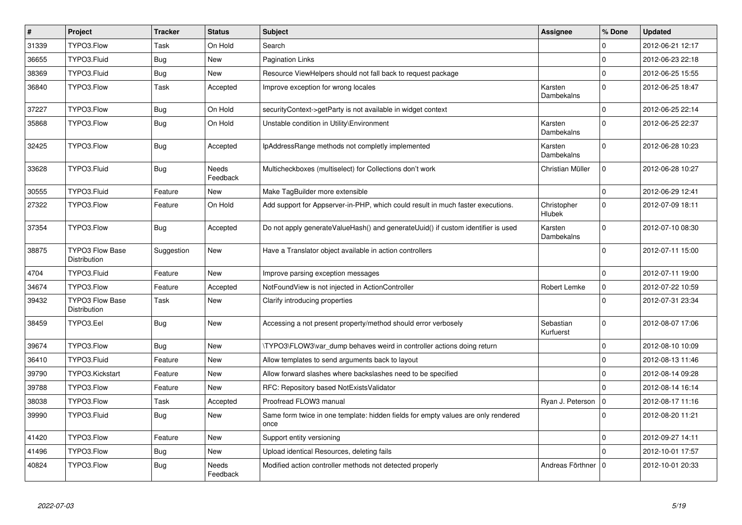| $\vert$ # | Project                                       | <b>Tracker</b> | <b>Status</b>     | <b>Subject</b>                                                                            | Assignee               | % Done       | <b>Updated</b>   |
|-----------|-----------------------------------------------|----------------|-------------------|-------------------------------------------------------------------------------------------|------------------------|--------------|------------------|
| 31339     | TYPO3.Flow                                    | Task           | On Hold           | Search                                                                                    |                        | 0            | 2012-06-21 12:17 |
| 36655     | TYPO3.Fluid                                   | <b>Bug</b>     | <b>New</b>        | Pagination Links                                                                          |                        | $\Omega$     | 2012-06-23 22:18 |
| 38369     | TYPO3.Fluid                                   | <b>Bug</b>     | New               | Resource ViewHelpers should not fall back to request package                              |                        | $\mathbf 0$  | 2012-06-25 15:55 |
| 36840     | TYPO3.Flow                                    | Task           | Accepted          | Improve exception for wrong locales                                                       | Karsten<br>Dambekalns  | $\Omega$     | 2012-06-25 18:47 |
| 37227     | TYPO3.Flow                                    | <b>Bug</b>     | On Hold           | securityContext->getParty is not available in widget context                              |                        | $\Omega$     | 2012-06-25 22:14 |
| 35868     | TYPO3.Flow                                    | Bug            | On Hold           | Unstable condition in Utility\Environment                                                 | Karsten<br>Dambekalns  | $\mathbf 0$  | 2012-06-25 22:37 |
| 32425     | TYPO3.Flow                                    | Bug            | Accepted          | IpAddressRange methods not completly implemented                                          | Karsten<br>Dambekalns  | $\Omega$     | 2012-06-28 10:23 |
| 33628     | TYPO3.Fluid                                   | <b>Bug</b>     | Needs<br>Feedback | Multicheckboxes (multiselect) for Collections don't work                                  | Christian Müller       | $\Omega$     | 2012-06-28 10:27 |
| 30555     | TYPO3.Fluid                                   | Feature        | New               | Make TagBuilder more extensible                                                           |                        | $\mathbf{0}$ | 2012-06-29 12:41 |
| 27322     | TYPO3.Flow                                    | Feature        | On Hold           | Add support for Appserver-in-PHP, which could result in much faster executions.           | Christopher<br>Hlubek  | $\Omega$     | 2012-07-09 18:11 |
| 37354     | TYPO3.Flow                                    | <b>Bug</b>     | Accepted          | Do not apply generate Value Hash() and generate Uuid() if custom identifier is used       | Karsten<br>Dambekalns  | $\Omega$     | 2012-07-10 08:30 |
| 38875     | <b>TYPO3 Flow Base</b><br>Distribution        | Suggestion     | <b>New</b>        | Have a Translator object available in action controllers                                  |                        | $\Omega$     | 2012-07-11 15:00 |
| 4704      | TYPO3.Fluid                                   | Feature        | New               | Improve parsing exception messages                                                        |                        | $\Omega$     | 2012-07-11 19:00 |
| 34674     | TYPO3.Flow                                    | Feature        | Accepted          | NotFoundView is not injected in ActionController                                          | Robert Lemke           | $\mathsf 0$  | 2012-07-22 10:59 |
| 39432     | <b>TYPO3 Flow Base</b><br><b>Distribution</b> | Task           | <b>New</b>        | Clarify introducing properties                                                            |                        | $\Omega$     | 2012-07-31 23:34 |
| 38459     | TYPO3.Eel                                     | Bug            | New               | Accessing a not present property/method should error verbosely                            | Sebastian<br>Kurfuerst | $\mathbf 0$  | 2012-08-07 17:06 |
| 39674     | TYPO3.Flow                                    | Bug            | New               | TYPO3\FLOW3\var_dump behaves weird in controller actions doing return                     |                        | $\mathbf 0$  | 2012-08-10 10:09 |
| 36410     | TYPO3.Fluid                                   | Feature        | New               | Allow templates to send arguments back to layout                                          |                        | $\mathbf 0$  | 2012-08-13 11:46 |
| 39790     | TYPO3.Kickstart                               | Feature        | New               | Allow forward slashes where backslashes need to be specified                              |                        | $\mathbf 0$  | 2012-08-14 09:28 |
| 39788     | TYPO3.Flow                                    | Feature        | New               | RFC: Repository based NotExistsValidator                                                  |                        | $\Omega$     | 2012-08-14 16:14 |
| 38038     | TYPO3.Flow                                    | Task           | Accepted          | Proofread FLOW3 manual                                                                    | Ryan J. Peterson       | l o          | 2012-08-17 11:16 |
| 39990     | TYPO3.Fluid                                   | <b>Bug</b>     | New               | Same form twice in one template: hidden fields for empty values are only rendered<br>once |                        | $\Omega$     | 2012-08-20 11:21 |
| 41420     | TYPO3.Flow                                    | Feature        | New               | Support entity versioning                                                                 |                        | $\mathbf 0$  | 2012-09-27 14:11 |
| 41496     | TYPO3.Flow                                    | Bug            | New               | Upload identical Resources, deleting fails                                                |                        | $\Omega$     | 2012-10-01 17:57 |
| 40824     | TYPO3.Flow                                    | <b>Bug</b>     | Needs<br>Feedback | Modified action controller methods not detected properly                                  | Andreas Förthner       | l 0          | 2012-10-01 20:33 |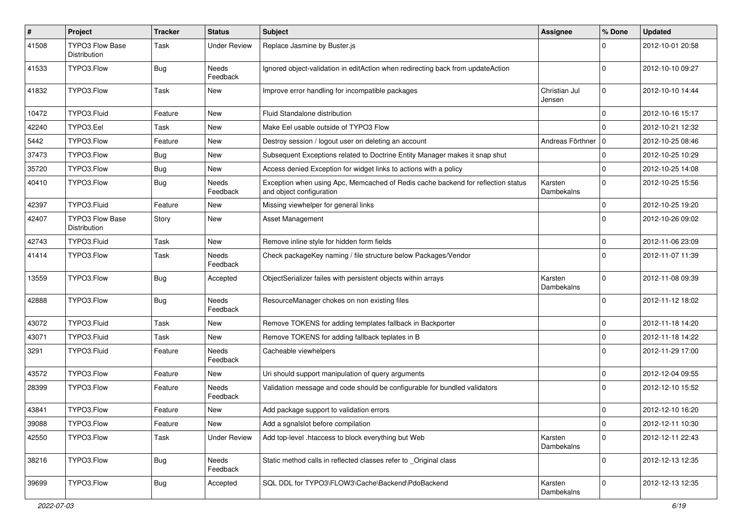| $\sharp$ | Project                                       | <b>Tracker</b> | <b>Status</b>       | <b>Subject</b>                                                                                               | <b>Assignee</b>         | % Done      | <b>Updated</b>   |
|----------|-----------------------------------------------|----------------|---------------------|--------------------------------------------------------------------------------------------------------------|-------------------------|-------------|------------------|
| 41508    | <b>TYPO3 Flow Base</b><br><b>Distribution</b> | Task           | Under Review        | Replace Jasmine by Buster.js                                                                                 |                         | 0           | 2012-10-01 20:58 |
| 41533    | TYPO3.Flow                                    | <b>Bug</b>     | Needs<br>Feedback   | Ignored object-validation in editAction when redirecting back from updateAction                              |                         | 0           | 2012-10-10 09:27 |
| 41832    | TYPO3.Flow                                    | Task           | New                 | Improve error handling for incompatible packages                                                             | Christian Jul<br>Jensen | $\mathbf 0$ | 2012-10-10 14:44 |
| 10472    | TYPO3.Fluid                                   | Feature        | New                 | Fluid Standalone distribution                                                                                |                         | $\mathbf 0$ | 2012-10-16 15:17 |
| 42240    | TYPO3.Eel                                     | Task           | New                 | Make Eel usable outside of TYPO3 Flow                                                                        |                         | $\Omega$    | 2012-10-21 12:32 |
| 5442     | TYPO3.Flow                                    | Feature        | New                 | Destroy session / logout user on deleting an account                                                         | Andreas Förthner        | l O         | 2012-10-25 08:46 |
| 37473    | TYPO3.Flow                                    | <b>Bug</b>     | New                 | Subsequent Exceptions related to Doctrine Entity Manager makes it snap shut                                  |                         | 0           | 2012-10-25 10:29 |
| 35720    | TYPO3.Flow                                    | Bug            | New                 | Access denied Exception for widget links to actions with a policy                                            |                         | $\Omega$    | 2012-10-25 14:08 |
| 40410    | TYPO3.Flow                                    | <b>Bug</b>     | Needs<br>Feedback   | Exception when using Apc, Memcached of Redis cache backend for reflection status<br>and object configuration | Karsten<br>Dambekalns   | $\Omega$    | 2012-10-25 15:56 |
| 42397    | TYPO3.Fluid                                   | Feature        | New                 | Missing viewhelper for general links                                                                         |                         | 0           | 2012-10-25 19:20 |
| 42407    | <b>TYPO3 Flow Base</b><br>Distribution        | Story          | New                 | Asset Management                                                                                             |                         | $\Omega$    | 2012-10-26 09:02 |
| 42743    | TYPO3.Fluid                                   | Task           | New                 | Remove inline style for hidden form fields                                                                   |                         | 0           | 2012-11-06 23:09 |
| 41414    | TYPO3.Flow                                    | Task           | Needs<br>Feedback   | Check packageKey naming / file structure below Packages/Vendor                                               |                         | $\Omega$    | 2012-11-07 11:39 |
| 13559    | TYPO3.Flow                                    | <b>Bug</b>     | Accepted            | ObjectSerializer failes with persistent objects within arrays                                                | Karsten<br>Dambekalns   | $\Omega$    | 2012-11-08 09:39 |
| 42888    | TYPO3.Flow                                    | <b>Bug</b>     | Needs<br>Feedback   | ResourceManager chokes on non existing files                                                                 |                         | 0           | 2012-11-12 18:02 |
| 43072    | TYPO3.Fluid                                   | Task           | New                 | Remove TOKENS for adding templates fallback in Backporter                                                    |                         | $\mathbf 0$ | 2012-11-18 14:20 |
| 43071    | TYPO3.Fluid                                   | Task           | New                 | Remove TOKENS for adding fallback teplates in B                                                              |                         | $\Omega$    | 2012-11-18 14:22 |
| 3291     | TYPO3.Fluid                                   | Feature        | Needs<br>Feedback   | Cacheable viewhelpers                                                                                        |                         | 0           | 2012-11-29 17:00 |
| 43572    | TYPO3.Flow                                    | Feature        | New                 | Uri should support manipulation of query arguments                                                           |                         | $\mathbf 0$ | 2012-12-04 09:55 |
| 28399    | TYPO3.Flow                                    | Feature        | Needs<br>Feedback   | Validation message and code should be configurable for bundled validators                                    |                         | $\Omega$    | 2012-12-10 15:52 |
| 43841    | TYPO3.Flow                                    | Feature        | New                 | Add package support to validation errors                                                                     |                         | $\mathbf 0$ | 2012-12-10 16:20 |
| 39088    | TYPO3.Flow                                    | Feature        | New                 | Add a sgnalslot before compilation                                                                           |                         | $\mathsf 0$ | 2012-12-11 10:30 |
| 42550    | TYPO3.Flow                                    | Task           | <b>Under Review</b> | Add top-level .htaccess to block everything but Web                                                          | Karsten<br>Dambekalns   | $\mathbf 0$ | 2012-12-11 22:43 |
| 38216    | TYPO3.Flow                                    | <b>Bug</b>     | Needs<br>Feedback   | Static method calls in reflected classes refer to _Original class                                            |                         | $\mathbf 0$ | 2012-12-13 12:35 |
| 39699    | TYPO3.Flow                                    | Bug            | Accepted            | SQL DDL for TYPO3\FLOW3\Cache\Backend\PdoBackend                                                             | Karsten<br>Dambekalns   | $\mathbf 0$ | 2012-12-13 12:35 |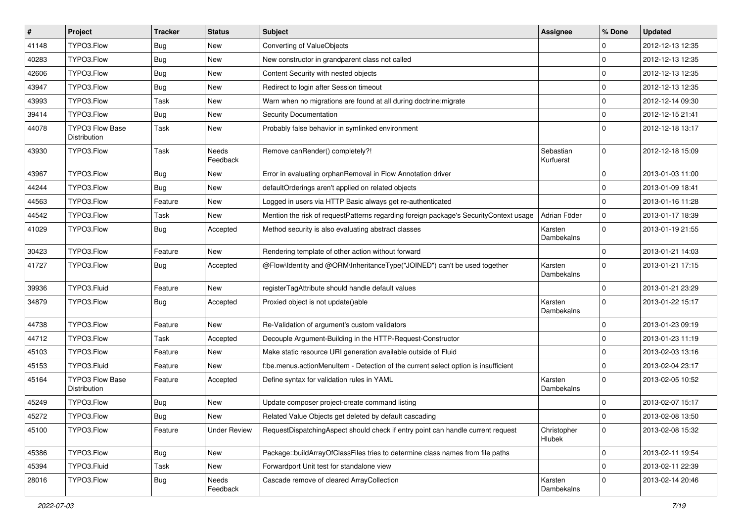| $\vert$ # | Project                                | <b>Tracker</b> | <b>Status</b>       | Subject                                                                               | <b>Assignee</b>        | % Done              | <b>Updated</b>   |
|-----------|----------------------------------------|----------------|---------------------|---------------------------------------------------------------------------------------|------------------------|---------------------|------------------|
| 41148     | TYPO3.Flow                             | Bug            | New                 | Converting of ValueObjects                                                            |                        | 0                   | 2012-12-13 12:35 |
| 40283     | TYPO3.Flow                             | Bug            | New                 | New constructor in grandparent class not called                                       |                        | $\mathbf 0$         | 2012-12-13 12:35 |
| 42606     | TYPO3.Flow                             | Bug            | New                 | Content Security with nested objects                                                  |                        | $\mathbf 0$         | 2012-12-13 12:35 |
| 43947     | TYPO3.Flow                             | <b>Bug</b>     | New                 | Redirect to login after Session timeout                                               |                        | $\mathbf 0$         | 2012-12-13 12:35 |
| 43993     | TYPO3.Flow                             | Task           | New                 | Warn when no migrations are found at all during doctrine: migrate                     |                        | 0                   | 2012-12-14 09:30 |
| 39414     | TYPO3.Flow                             | Bug            | New                 | <b>Security Documentation</b>                                                         |                        | 0                   | 2012-12-15 21:41 |
| 44078     | TYPO3 Flow Base<br>Distribution        | Task           | New                 | Probably false behavior in symlinked environment                                      |                        | $\Omega$            | 2012-12-18 13:17 |
| 43930     | TYPO3.Flow                             | Task           | Needs<br>Feedback   | Remove canRender() completely?!                                                       | Sebastian<br>Kurfuerst | $\mathbf 0$         | 2012-12-18 15:09 |
| 43967     | TYPO3.Flow                             | Bug            | New                 | Error in evaluating orphanRemoval in Flow Annotation driver                           |                        | $\mathbf 0$         | 2013-01-03 11:00 |
| 44244     | TYPO3.Flow                             | Bug            | New                 | defaultOrderings aren't applied on related objects                                    |                        | $\mathbf 0$         | 2013-01-09 18:41 |
| 44563     | TYPO3.Flow                             | Feature        | New                 | Logged in users via HTTP Basic always get re-authenticated                            |                        | $\mathbf 0$         | 2013-01-16 11:28 |
| 44542     | TYPO3.Flow                             | Task           | New                 | Mention the risk of requestPatterns regarding foreign package's SecurityContext usage | Adrian Föder           | $\mathbf 0$         | 2013-01-17 18:39 |
| 41029     | TYPO3.Flow                             | Bug            | Accepted            | Method security is also evaluating abstract classes                                   | Karsten<br>Dambekalns  | $\mathbf{0}$        | 2013-01-19 21:55 |
| 30423     | TYPO3.Flow                             | Feature        | New                 | Rendering template of other action without forward                                    |                        | $\mathbf 0$         | 2013-01-21 14:03 |
| 41727     | TYPO3.Flow                             | <b>Bug</b>     | Accepted            | @Flow\Identity and @ORM\InheritanceType("JOINED") can't be used together              | Karsten<br>Dambekalns  | $\mathbf{0}$        | 2013-01-21 17:15 |
| 39936     | TYPO3.Fluid                            | Feature        | New                 | registerTagAttribute should handle default values                                     |                        | $\mathbf 0$         | 2013-01-21 23:29 |
| 34879     | TYPO3.Flow                             | Bug            | Accepted            | Proxied object is not update()able                                                    | Karsten<br>Dambekalns  | $\mathbf 0$         | 2013-01-22 15:17 |
| 44738     | TYPO3.Flow                             | Feature        | New                 | Re-Validation of argument's custom validators                                         |                        | $\mathsf{O}\xspace$ | 2013-01-23 09:19 |
| 44712     | TYPO3.Flow                             | Task           | Accepted            | Decouple Argument-Building in the HTTP-Request-Constructor                            |                        | $\mathbf 0$         | 2013-01-23 11:19 |
| 45103     | TYPO3.Flow                             | Feature        | New                 | Make static resource URI generation available outside of Fluid                        |                        | $\mathbf 0$         | 2013-02-03 13:16 |
| 45153     | TYPO3.Fluid                            | Feature        | New                 | f:be.menus.actionMenuItem - Detection of the current select option is insufficient    |                        | $\mathbf 0$         | 2013-02-04 23:17 |
| 45164     | <b>TYPO3 Flow Base</b><br>Distribution | Feature        | Accepted            | Define syntax for validation rules in YAML                                            | Karsten<br>Dambekalns  | $\mathbf 0$         | 2013-02-05 10:52 |
| 45249     | TYPO3.Flow                             | <b>Bug</b>     | New                 | Update composer project-create command listing                                        |                        | 0                   | 2013-02-07 15:17 |
| 45272     | TYPO3.Flow                             | <b>Bug</b>     | New                 | Related Value Objects get deleted by default cascading                                |                        | $\Omega$            | 2013-02-08 13:50 |
| 45100     | TYPO3.Flow                             | Feature        | <b>Under Review</b> | RequestDispatchingAspect should check if entry point can handle current request       | Christopher<br>Hlubek  | $\mathbf 0$         | 2013-02-08 15:32 |
| 45386     | TYPO3.Flow                             | Bug            | New                 | Package::buildArrayOfClassFiles tries to determine class names from file paths        |                        | 0                   | 2013-02-11 19:54 |
| 45394     | TYPO3.Fluid                            | Task           | New                 | Forwardport Unit test for standalone view                                             |                        | 0                   | 2013-02-11 22:39 |
| 28016     | TYPO3.Flow                             | <b>Bug</b>     | Needs<br>Feedback   | Cascade remove of cleared ArrayCollection                                             | Karsten<br>Dambekalns  | $\mathsf{O}\xspace$ | 2013-02-14 20:46 |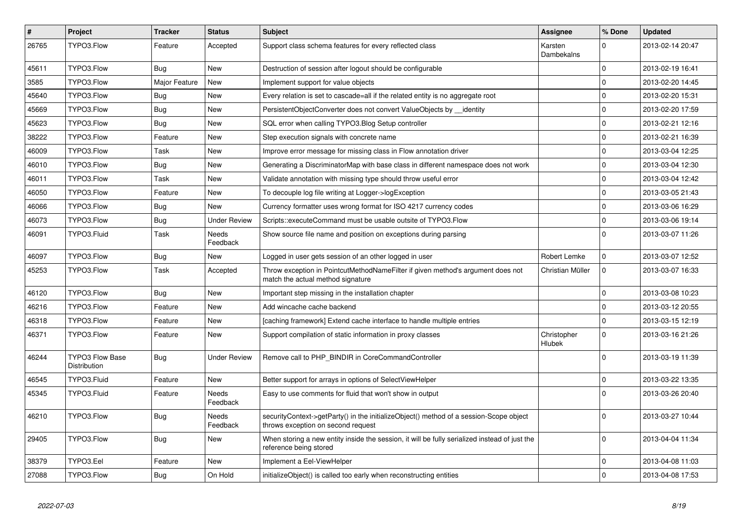| $\pmb{\#}$ | Project                                | <b>Tracker</b> | <b>Status</b>            | <b>Subject</b>                                                                                                               | <b>Assignee</b>       | % Done              | <b>Updated</b>   |
|------------|----------------------------------------|----------------|--------------------------|------------------------------------------------------------------------------------------------------------------------------|-----------------------|---------------------|------------------|
| 26765      | TYPO3.Flow                             | Feature        | Accepted                 | Support class schema features for every reflected class                                                                      | Karsten<br>Dambekalns | $\Omega$            | 2013-02-14 20:47 |
| 45611      | TYPO3.Flow                             | Bug            | New                      | Destruction of session after logout should be configurable                                                                   |                       | 0                   | 2013-02-19 16:41 |
| 3585       | TYPO3.Flow                             | Major Feature  | New                      | Implement support for value objects                                                                                          |                       | $\mathbf 0$         | 2013-02-20 14:45 |
| 45640      | TYPO3.Flow                             | Bug            | New                      | Every relation is set to cascade=all if the related entity is no aggregate root                                              |                       | $\mathbf 0$         | 2013-02-20 15:31 |
| 45669      | TYPO3.Flow                             | <b>Bug</b>     | New                      | PersistentObjectConverter does not convert ValueObjects by identity                                                          |                       | 0                   | 2013-02-20 17:59 |
| 45623      | TYPO3.Flow                             | Bug            | New                      | SQL error when calling TYPO3.Blog Setup controller                                                                           |                       | $\mathbf 0$         | 2013-02-21 12:16 |
| 38222      | TYPO3.Flow                             | Feature        | New                      | Step execution signals with concrete name                                                                                    |                       | 0                   | 2013-02-21 16:39 |
| 46009      | TYPO3.Flow                             | Task           | New                      | Improve error message for missing class in Flow annotation driver                                                            |                       | $\mathsf{O}\xspace$ | 2013-03-04 12:25 |
| 46010      | TYPO3.Flow                             | Bug            | New                      | Generating a DiscriminatorMap with base class in different namespace does not work                                           |                       | $\mathbf 0$         | 2013-03-04 12:30 |
| 46011      | TYPO3.Flow                             | Task           | New                      | Validate annotation with missing type should throw useful error                                                              |                       | $\mathbf{0}$        | 2013-03-04 12:42 |
| 46050      | TYPO3.Flow                             | Feature        | New                      | To decouple log file writing at Logger->logException                                                                         |                       | 0                   | 2013-03-05 21:43 |
| 46066      | TYPO3.Flow                             | Bug            | New                      | Currency formatter uses wrong format for ISO 4217 currency codes                                                             |                       | $\mathbf 0$         | 2013-03-06 16:29 |
| 46073      | TYPO3.Flow                             | Bug            | <b>Under Review</b>      | Scripts::executeCommand must be usable outsite of TYPO3. Flow                                                                |                       | $\mathbf 0$         | 2013-03-06 19:14 |
| 46091      | TYPO3.Fluid                            | Task           | <b>Needs</b><br>Feedback | Show source file name and position on exceptions during parsing                                                              |                       | $\Omega$            | 2013-03-07 11:26 |
| 46097      | TYPO3.Flow                             | <b>Bug</b>     | New                      | Logged in user gets session of an other logged in user                                                                       | Robert Lemke          | $\mathsf{O}\xspace$ | 2013-03-07 12:52 |
| 45253      | TYPO3.Flow                             | Task           | Accepted                 | Throw exception in PointcutMethodNameFilter if given method's argument does not<br>match the actual method signature         | Christian Müller      | $\mathbf 0$         | 2013-03-07 16:33 |
| 46120      | TYPO3.Flow                             | <b>Bug</b>     | New                      | Important step missing in the installation chapter                                                                           |                       | $\mathsf{O}\xspace$ | 2013-03-08 10:23 |
| 46216      | TYPO3.Flow                             | Feature        | New                      | Add wincache cache backend                                                                                                   |                       | $\mathbf 0$         | 2013-03-12 20:55 |
| 46318      | TYPO3.Flow                             | Feature        | New                      | [caching framework] Extend cache interface to handle multiple entries                                                        |                       | $\mathsf{O}\xspace$ | 2013-03-15 12:19 |
| 46371      | TYPO3.Flow                             | Feature        | New                      | Support compilation of static information in proxy classes                                                                   | Christopher<br>Hlubek | $\mathbf 0$         | 2013-03-16 21:26 |
| 46244      | <b>TYPO3 Flow Base</b><br>Distribution | <b>Bug</b>     | <b>Under Review</b>      | Remove call to PHP BINDIR in CoreCommandController                                                                           |                       | $\mathbf 0$         | 2013-03-19 11:39 |
| 46545      | TYPO3.Fluid                            | Feature        | New                      | Better support for arrays in options of SelectViewHelper                                                                     |                       | $\mathbf 0$         | 2013-03-22 13:35 |
| 45345      | TYPO3.Fluid                            | Feature        | Needs<br>Feedback        | Easy to use comments for fluid that won't show in output                                                                     |                       | $\Omega$            | 2013-03-26 20:40 |
| 46210      | TYPO3.Flow                             | Bug            | Needs<br>Feedback        | securityContext->getParty() in the initializeObject() method of a session-Scope object<br>throws exception on second request |                       | 0                   | 2013-03-27 10:44 |
| 29405      | TYPO3.Flow                             | Bug            | New                      | When storing a new entity inside the session, it will be fully serialized instead of just the<br>reference being stored      |                       | $\Omega$            | 2013-04-04 11:34 |
| 38379      | TYPO3.Eel                              | Feature        | New                      | Implement a Eel-ViewHelper                                                                                                   |                       | $\mathbf 0$         | 2013-04-08 11:03 |
| 27088      | TYPO3.Flow                             | Bug            | On Hold                  | initializeObject() is called too early when reconstructing entities                                                          |                       | $\mathbf 0$         | 2013-04-08 17:53 |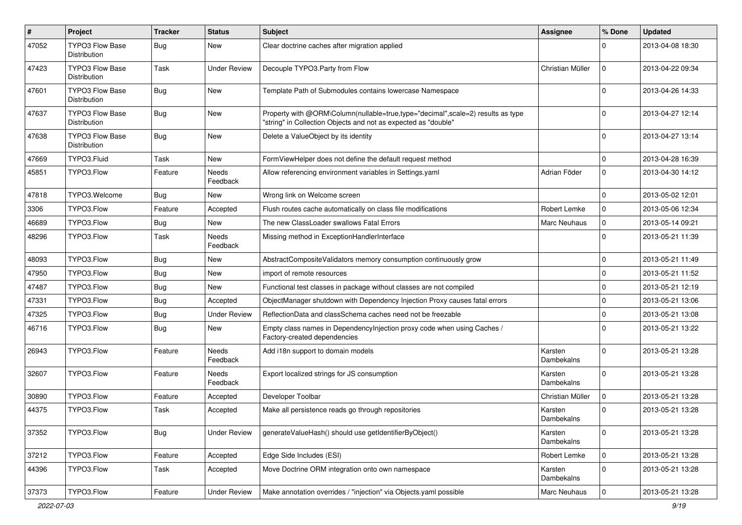| #     | Project                                | <b>Tracker</b> | <b>Status</b>       | Subject                                                                                                                                           | Assignee              | % Done      | <b>Updated</b>   |
|-------|----------------------------------------|----------------|---------------------|---------------------------------------------------------------------------------------------------------------------------------------------------|-----------------------|-------------|------------------|
| 47052 | <b>TYPO3 Flow Base</b><br>Distribution | Bug            | New                 | Clear doctrine caches after migration applied                                                                                                     |                       | $\Omega$    | 2013-04-08 18:30 |
| 47423 | <b>TYPO3 Flow Base</b><br>Distribution | Task           | Under Review        | Decouple TYPO3.Party from Flow                                                                                                                    | Christian Müller      | $\mathbf 0$ | 2013-04-22 09:34 |
| 47601 | <b>TYPO3 Flow Base</b><br>Distribution | Bug            | New                 | Template Path of Submodules contains lowercase Namespace                                                                                          |                       | $\Omega$    | 2013-04-26 14:33 |
| 47637 | <b>TYPO3 Flow Base</b><br>Distribution | Bug            | New                 | Property with @ORM\Column(nullable=true,type="decimal",scale=2) results as type<br>"string" in Collection Objects and not as expected as "double" |                       | $\Omega$    | 2013-04-27 12:14 |
| 47638 | TYPO3 Flow Base<br>Distribution        | Bug            | New                 | Delete a ValueObject by its identity                                                                                                              |                       | $\Omega$    | 2013-04-27 13:14 |
| 47669 | TYPO3.Fluid                            | Task           | New                 | FormViewHelper does not define the default request method                                                                                         |                       | $\mathbf 0$ | 2013-04-28 16:39 |
| 45851 | TYPO3.Flow                             | Feature        | Needs<br>Feedback   | Allow referencing environment variables in Settings.yaml                                                                                          | Adrian Föder          | $\mathbf 0$ | 2013-04-30 14:12 |
| 47818 | TYPO3. Welcome                         | Bug            | New                 | Wrong link on Welcome screen                                                                                                                      |                       | $\mathbf 0$ | 2013-05-02 12:01 |
| 3306  | TYPO3.Flow                             | Feature        | Accepted            | Flush routes cache automatically on class file modifications                                                                                      | Robert Lemke          | $\mathbf 0$ | 2013-05-06 12:34 |
| 46689 | TYPO3.Flow                             | Bug            | New                 | The new ClassLoader swallows Fatal Errors                                                                                                         | <b>Marc Neuhaus</b>   | $\mathbf 0$ | 2013-05-14 09:21 |
| 48296 | TYPO3.Flow                             | Task           | Needs<br>Feedback   | Missing method in ExceptionHandlerInterface                                                                                                       |                       | $\Omega$    | 2013-05-21 11:39 |
| 48093 | TYPO3.Flow                             | Bug            | New                 | AbstractCompositeValidators memory consumption continuously grow                                                                                  |                       | 0           | 2013-05-21 11:49 |
| 47950 | TYPO3.Flow                             | Bug            | New                 | import of remote resources                                                                                                                        |                       | $\mathbf 0$ | 2013-05-21 11:52 |
| 47487 | TYPO3.Flow                             | Bug            | New                 | Functional test classes in package without classes are not compiled                                                                               |                       | 0           | 2013-05-21 12:19 |
| 47331 | TYPO3.Flow                             | Bug            | Accepted            | ObjectManager shutdown with Dependency Injection Proxy causes fatal errors                                                                        |                       | $\mathbf 0$ | 2013-05-21 13:06 |
| 47325 | TYPO3.Flow                             | Bug            | <b>Under Review</b> | ReflectionData and classSchema caches need not be freezable                                                                                       |                       | $\mathbf 0$ | 2013-05-21 13:08 |
| 46716 | TYPO3.Flow                             | Bug            | New                 | Empty class names in Dependencylnjection proxy code when using Caches /<br>Factory-created dependencies                                           |                       | $\Omega$    | 2013-05-21 13:22 |
| 26943 | TYPO3.Flow                             | Feature        | Needs<br>Feedback   | Add i18n support to domain models                                                                                                                 | Karsten<br>Dambekalns | $\Omega$    | 2013-05-21 13:28 |
| 32607 | TYPO3.Flow                             | Feature        | Needs<br>Feedback   | Export localized strings for JS consumption                                                                                                       | Karsten<br>Dambekalns | $\Omega$    | 2013-05-21 13:28 |
| 30890 | TYPO3.Flow                             | Feature        | Accepted            | Developer Toolbar                                                                                                                                 | Christian Müller      | $\mathbf 0$ | 2013-05-21 13:28 |
| 44375 | TYPO3.Flow                             | Task           | Accepted            | Make all persistence reads go through repositories                                                                                                | Karsten<br>Dambekalns | $\Omega$    | 2013-05-21 13:28 |
| 37352 | TYPO3.Flow                             | <b>Bug</b>     | <b>Under Review</b> | generateValueHash() should use getIdentifierByObject()                                                                                            | Karsten<br>Dambekalns | 0           | 2013-05-21 13:28 |
| 37212 | TYPO3.Flow                             | Feature        | Accepted            | Edge Side Includes (ESI)                                                                                                                          | Robert Lemke          | $\mathbf 0$ | 2013-05-21 13:28 |
| 44396 | TYPO3.Flow                             | Task           | Accepted            | Move Doctrine ORM integration onto own namespace                                                                                                  | Karsten<br>Dambekalns | $\mathbf 0$ | 2013-05-21 13:28 |
| 37373 | TYPO3.Flow                             | Feature        | <b>Under Review</b> | Make annotation overrides / "injection" via Objects.yaml possible                                                                                 | Marc Neuhaus          | $\mathbf 0$ | 2013-05-21 13:28 |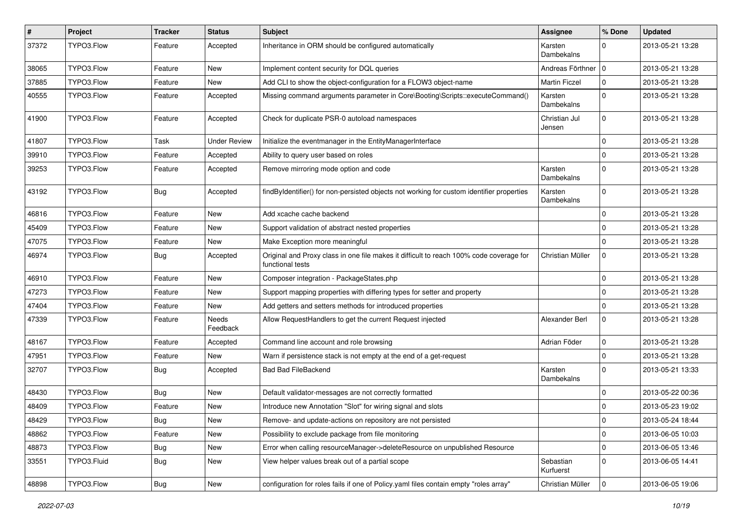| $\pmb{\#}$ | Project     | <b>Tracker</b> | <b>Status</b>     | Subject                                                                                                     | Assignee                | % Done              | <b>Updated</b>   |
|------------|-------------|----------------|-------------------|-------------------------------------------------------------------------------------------------------------|-------------------------|---------------------|------------------|
| 37372      | TYPO3.Flow  | Feature        | Accepted          | Inheritance in ORM should be configured automatically                                                       | Karsten<br>Dambekalns   | $\Omega$            | 2013-05-21 13:28 |
| 38065      | TYPO3.Flow  | Feature        | New               | Implement content security for DQL queries                                                                  | Andreas Förthner   0    |                     | 2013-05-21 13:28 |
| 37885      | TYPO3.Flow  | Feature        | New               | Add CLI to show the object-configuration for a FLOW3 object-name                                            | <b>Martin Ficzel</b>    | $\mathbf 0$         | 2013-05-21 13:28 |
| 40555      | TYPO3.Flow  | Feature        | Accepted          | Missing command arguments parameter in Core\Booting\Scripts::executeCommand()                               | Karsten<br>Dambekalns   | $\Omega$            | 2013-05-21 13:28 |
| 41900      | TYPO3.Flow  | Feature        | Accepted          | Check for duplicate PSR-0 autoload namespaces                                                               | Christian Jul<br>Jensen | $\Omega$            | 2013-05-21 13:28 |
| 41807      | TYPO3.Flow  | Task           | Under Review      | Initialize the eventmanager in the EntityManagerInterface                                                   |                         | $\Omega$            | 2013-05-21 13:28 |
| 39910      | TYPO3.Flow  | Feature        | Accepted          | Ability to query user based on roles                                                                        |                         | $\mathbf 0$         | 2013-05-21 13:28 |
| 39253      | TYPO3.Flow  | Feature        | Accepted          | Remove mirroring mode option and code                                                                       | Karsten<br>Dambekalns   | $\Omega$            | 2013-05-21 13:28 |
| 43192      | TYPO3.Flow  | <b>Bug</b>     | Accepted          | findByIdentifier() for non-persisted objects not working for custom identifier properties                   | Karsten<br>Dambekalns   | $\Omega$            | 2013-05-21 13:28 |
| 46816      | TYPO3.Flow  | Feature        | New               | Add xcache cache backend                                                                                    |                         | $\Omega$            | 2013-05-21 13:28 |
| 45409      | TYPO3.Flow  | Feature        | New               | Support validation of abstract nested properties                                                            |                         | $\mathbf 0$         | 2013-05-21 13:28 |
| 47075      | TYPO3.Flow  | Feature        | New               | Make Exception more meaningful                                                                              |                         | $\Omega$            | 2013-05-21 13:28 |
| 46974      | TYPO3.Flow  | <b>Bug</b>     | Accepted          | Original and Proxy class in one file makes it difficult to reach 100% code coverage for<br>functional tests | Christian Müller        | $\mathbf 0$         | 2013-05-21 13:28 |
| 46910      | TYPO3.Flow  | Feature        | New               | Composer integration - PackageStates.php                                                                    |                         | $\Omega$            | 2013-05-21 13:28 |
| 47273      | TYPO3.Flow  | Feature        | New               | Support mapping properties with differing types for setter and property                                     |                         | $\Omega$            | 2013-05-21 13:28 |
| 47404      | TYPO3.Flow  | Feature        | New               | Add getters and setters methods for introduced properties                                                   |                         | $\Omega$            | 2013-05-21 13:28 |
| 47339      | TYPO3.Flow  | Feature        | Needs<br>Feedback | Allow RequestHandlers to get the current Request injected                                                   | Alexander Berl          | $\mathbf 0$         | 2013-05-21 13:28 |
| 48167      | TYPO3.Flow  | Feature        | Accepted          | Command line account and role browsing                                                                      | Adrian Föder            | $\mathbf 0$         | 2013-05-21 13:28 |
| 47951      | TYPO3.Flow  | Feature        | New               | Warn if persistence stack is not empty at the end of a get-request                                          |                         | $\Omega$            | 2013-05-21 13:28 |
| 32707      | TYPO3.Flow  | Bug            | Accepted          | <b>Bad Bad FileBackend</b>                                                                                  | Karsten<br>Dambekalns   | $\Omega$            | 2013-05-21 13:33 |
| 48430      | TYPO3.Flow  | Bug            | New               | Default validator-messages are not correctly formatted                                                      |                         | $\Omega$            | 2013-05-22 00:36 |
| 48409      | TYPO3.Flow  | Feature        | New               | Introduce new Annotation "Slot" for wiring signal and slots                                                 |                         | $\mathbf 0$         | 2013-05-23 19:02 |
| 48429      | TYPO3.Flow  | <b>Bug</b>     | New               | Remove- and update-actions on repository are not persisted                                                  |                         | 0                   | 2013-05-24 18:44 |
| 48862      | TYPO3.Flow  | Feature        | New               | Possibility to exclude package from file monitoring                                                         |                         | 0                   | 2013-06-05 10:03 |
| 48873      | TYPO3.Flow  | <b>Bug</b>     | New               | Error when calling resourceManager->deleteResource on unpublished Resource                                  |                         | $\mathsf{O}\xspace$ | 2013-06-05 13:46 |
| 33551      | TYPO3.Fluid | <b>Bug</b>     | New               | View helper values break out of a partial scope                                                             | Sebastian<br>Kurfuerst  | $\mathbf 0$         | 2013-06-05 14:41 |
| 48898      | TYPO3.Flow  | Bug            | New               | configuration for roles fails if one of Policy yaml files contain empty "roles array"                       | Christian Müller        | $\mathbf 0$         | 2013-06-05 19:06 |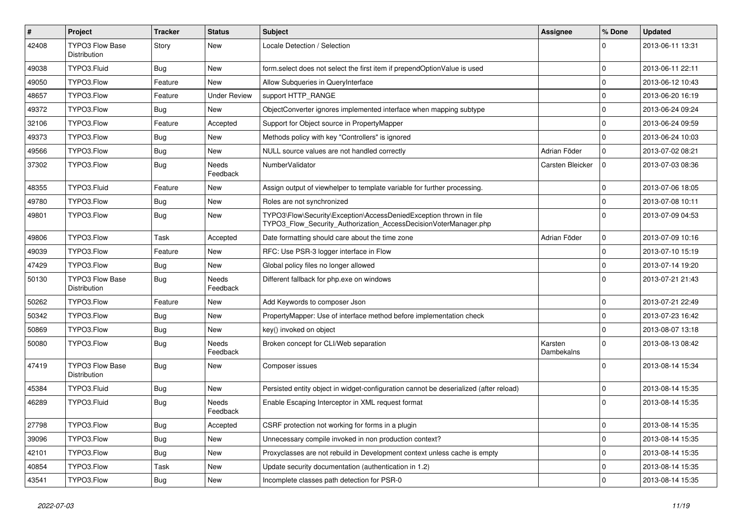| $\vert$ # | Project                                | <b>Tracker</b> | <b>Status</b>            | <b>Subject</b>                                                                                                                         | Assignee              | % Done      | <b>Updated</b>   |
|-----------|----------------------------------------|----------------|--------------------------|----------------------------------------------------------------------------------------------------------------------------------------|-----------------------|-------------|------------------|
| 42408     | <b>TYPO3 Flow Base</b><br>Distribution | Story          | New                      | Locale Detection / Selection                                                                                                           |                       | 0           | 2013-06-11 13:31 |
| 49038     | TYPO3.Fluid                            | Bug            | New                      | form.select does not select the first item if prependOptionValue is used                                                               |                       | $\mathbf 0$ | 2013-06-11 22:11 |
| 49050     | TYPO3.Flow                             | Feature        | New                      | Allow Subqueries in QueryInterface                                                                                                     |                       | 0           | 2013-06-12 10:43 |
| 48657     | TYPO3.Flow                             | Feature        | <b>Under Review</b>      | support HTTP_RANGE                                                                                                                     |                       | $\mathbf 0$ | 2013-06-20 16:19 |
| 49372     | TYPO3.Flow                             | <b>Bug</b>     | New                      | ObjectConverter ignores implemented interface when mapping subtype                                                                     |                       | $\mathbf 0$ | 2013-06-24 09:24 |
| 32106     | TYPO3.Flow                             | Feature        | Accepted                 | Support for Object source in PropertyMapper                                                                                            |                       | $\mathbf 0$ | 2013-06-24 09:59 |
| 49373     | TYPO3.Flow                             | Bug            | New                      | Methods policy with key "Controllers" is ignored                                                                                       |                       | $\mathbf 0$ | 2013-06-24 10:03 |
| 49566     | TYPO3.Flow                             | Bug            | New                      | NULL source values are not handled correctly                                                                                           | Adrian Föder          | 0           | 2013-07-02 08:21 |
| 37302     | TYPO3.Flow                             | <b>Bug</b>     | <b>Needs</b><br>Feedback | NumberValidator                                                                                                                        | Carsten Bleicker      | $\mathbf 0$ | 2013-07-03 08:36 |
| 48355     | TYPO3.Fluid                            | Feature        | New                      | Assign output of viewhelper to template variable for further processing.                                                               |                       | $\mathbf 0$ | 2013-07-06 18:05 |
| 49780     | TYPO3.Flow                             | <b>Bug</b>     | New                      | Roles are not synchronized                                                                                                             |                       | 0           | 2013-07-08 10:11 |
| 49801     | TYPO3.Flow                             | <b>Bug</b>     | New                      | TYPO3\Flow\Security\Exception\AccessDeniedException thrown in file<br>TYPO3 Flow Security Authorization AccessDecisionVoterManager.php |                       | $\mathbf 0$ | 2013-07-09 04:53 |
| 49806     | TYPO3.Flow                             | Task           | Accepted                 | Date formatting should care about the time zone                                                                                        | Adrian Föder          | $\mathbf 0$ | 2013-07-09 10:16 |
| 49039     | TYPO3.Flow                             | Feature        | New                      | RFC: Use PSR-3 logger interface in Flow                                                                                                |                       | 0           | 2013-07-10 15:19 |
| 47429     | TYPO3.Flow                             | Bug            | New                      | Global policy files no longer allowed                                                                                                  |                       | 0           | 2013-07-14 19:20 |
| 50130     | <b>TYPO3 Flow Base</b><br>Distribution | Bug            | Needs<br>Feedback        | Different fallback for php.exe on windows                                                                                              |                       | $\Omega$    | 2013-07-21 21:43 |
| 50262     | TYPO3.Flow                             | Feature        | New                      | Add Keywords to composer Json                                                                                                          |                       | $\mathbf 0$ | 2013-07-21 22:49 |
| 50342     | TYPO3.Flow                             | Bug            | New                      | PropertyMapper: Use of interface method before implementation check                                                                    |                       | $\mathbf 0$ | 2013-07-23 16:42 |
| 50869     | TYPO3.Flow                             | Bug            | New                      | key() invoked on object                                                                                                                |                       | $\mathbf 0$ | 2013-08-07 13:18 |
| 50080     | TYPO3.Flow                             | Bug            | Needs<br>Feedback        | Broken concept for CLI/Web separation                                                                                                  | Karsten<br>Dambekalns | $\mathbf 0$ | 2013-08-13 08:42 |
| 47419     | TYPO3 Flow Base<br>Distribution        | Bug            | New                      | Composer issues                                                                                                                        |                       | $\Omega$    | 2013-08-14 15:34 |
| 45384     | TYPO3.Fluid                            | <b>Bug</b>     | New                      | Persisted entity object in widget-configuration cannot be deserialized (after reload)                                                  |                       | 0           | 2013-08-14 15:35 |
| 46289     | TYPO3.Fluid                            | Bug            | Needs<br>Feedback        | Enable Escaping Interceptor in XML request format                                                                                      |                       | $\Omega$    | 2013-08-14 15:35 |
| 27798     | TYPO3.Flow                             | <b>Bug</b>     | Accepted                 | CSRF protection not working for forms in a plugin                                                                                      |                       | $\mathbf 0$ | 2013-08-14 15:35 |
| 39096     | TYPO3.Flow                             | <b>Bug</b>     | New                      | Unnecessary compile invoked in non production context?                                                                                 |                       | $\mathbf 0$ | 2013-08-14 15:35 |
| 42101     | TYPO3.Flow                             | <b>Bug</b>     | New                      | Proxyclasses are not rebuild in Development context unless cache is empty                                                              |                       | $\mathbf 0$ | 2013-08-14 15:35 |
| 40854     | TYPO3.Flow                             | Task           | New                      | Update security documentation (authentication in 1.2)                                                                                  |                       | $\mathbf 0$ | 2013-08-14 15:35 |
| 43541     | TYPO3.Flow                             | Bug            | New                      | Incomplete classes path detection for PSR-0                                                                                            |                       | $\mathbf 0$ | 2013-08-14 15:35 |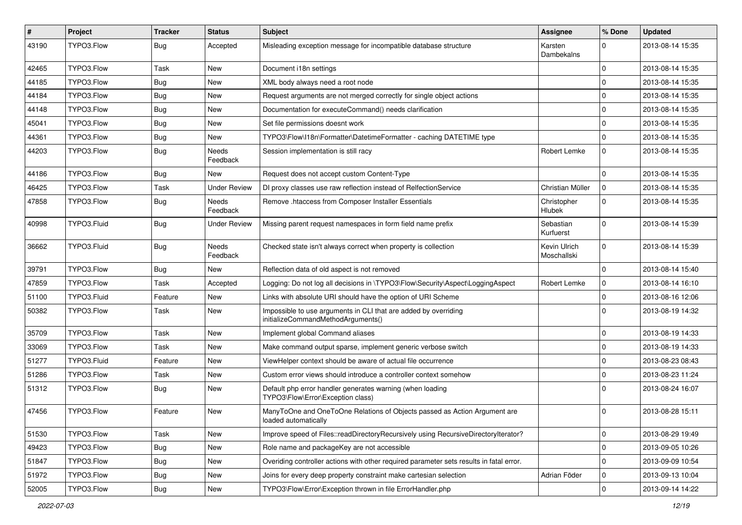| #     | Project     | <b>Tracker</b> | <b>Status</b>       | <b>Subject</b>                                                                                        | Assignee                     | % Done      | <b>Updated</b>   |
|-------|-------------|----------------|---------------------|-------------------------------------------------------------------------------------------------------|------------------------------|-------------|------------------|
| 43190 | TYPO3.Flow  | Bug            | Accepted            | Misleading exception message for incompatible database structure                                      | Karsten<br>Dambekalns        | $\Omega$    | 2013-08-14 15:35 |
| 42465 | TYPO3.Flow  | Task           | New                 | Document i18n settings                                                                                |                              | $\mathbf 0$ | 2013-08-14 15:35 |
| 44185 | TYPO3.Flow  | Bug            | New                 | XML body always need a root node                                                                      |                              | $\Omega$    | 2013-08-14 15:35 |
| 44184 | TYPO3.Flow  | <b>Bug</b>     | New                 | Request arguments are not merged correctly for single object actions                                  |                              | $\Omega$    | 2013-08-14 15:35 |
| 44148 | TYPO3.Flow  | Bug            | New                 | Documentation for executeCommand() needs clarification                                                |                              | $\mathbf 0$ | 2013-08-14 15:35 |
| 45041 | TYPO3.Flow  | <b>Bug</b>     | New                 | Set file permissions doesnt work                                                                      |                              | $\Omega$    | 2013-08-14 15:35 |
| 44361 | TYPO3.Flow  | Bug            | New                 | TYPO3\Flow\I18n\Formatter\DatetimeFormatter - caching DATETIME type                                   |                              | $\mathbf 0$ | 2013-08-14 15:35 |
| 44203 | TYPO3.Flow  | Bug            | Needs<br>Feedback   | Session implementation is still racy                                                                  | <b>Robert Lemke</b>          | $\mathbf 0$ | 2013-08-14 15:35 |
| 44186 | TYPO3.Flow  | Bug            | New                 | Request does not accept custom Content-Type                                                           |                              | $\mathbf 0$ | 2013-08-14 15:35 |
| 46425 | TYPO3.Flow  | Task           | <b>Under Review</b> | DI proxy classes use raw reflection instead of RelfectionService                                      | Christian Müller             | 0           | 2013-08-14 15:35 |
| 47858 | TYPO3.Flow  | <b>Bug</b>     | Needs<br>Feedback   | Remove .htaccess from Composer Installer Essentials                                                   | Christopher<br><b>Hlubek</b> | $\Omega$    | 2013-08-14 15:35 |
| 40998 | TYPO3.Fluid | <b>Bug</b>     | Under Review        | Missing parent request namespaces in form field name prefix                                           | Sebastian<br>Kurfuerst       | $\Omega$    | 2013-08-14 15:39 |
| 36662 | TYPO3.Fluid | <b>Bug</b>     | Needs<br>Feedback   | Checked state isn't always correct when property is collection                                        | Kevin Ulrich<br>Moschallski  | $\Omega$    | 2013-08-14 15:39 |
| 39791 | TYPO3.Flow  | Bug            | New                 | Reflection data of old aspect is not removed                                                          |                              | $\mathbf 0$ | 2013-08-14 15:40 |
| 47859 | TYPO3.Flow  | Task           | Accepted            | Logging: Do not log all decisions in \TYPO3\Flow\Security\Aspect\LoggingAspect                        | Robert Lemke                 | $\mathbf 0$ | 2013-08-14 16:10 |
| 51100 | TYPO3.Fluid | Feature        | New                 | Links with absolute URI should have the option of URI Scheme                                          |                              | $\Omega$    | 2013-08-16 12:06 |
| 50382 | TYPO3.Flow  | Task           | New                 | Impossible to use arguments in CLI that are added by overriding<br>initializeCommandMethodArguments() |                              | $\Omega$    | 2013-08-19 14:32 |
| 35709 | TYPO3.Flow  | Task           | New                 | Implement global Command aliases                                                                      |                              | $\mathbf 0$ | 2013-08-19 14:33 |
| 33069 | TYPO3.Flow  | Task           | New                 | Make command output sparse, implement generic verbose switch                                          |                              | $\mathbf 0$ | 2013-08-19 14:33 |
| 51277 | TYPO3.Fluid | Feature        | New                 | ViewHelper context should be aware of actual file occurrence                                          |                              | $\mathbf 0$ | 2013-08-23 08:43 |
| 51286 | TYPO3.Flow  | Task           | New                 | Custom error views should introduce a controller context somehow                                      |                              | $\mathbf 0$ | 2013-08-23 11:24 |
| 51312 | TYPO3.Flow  | Bug            | New                 | Default php error handler generates warning (when loading<br>TYPO3\Flow\Error\Exception class)        |                              | $\Omega$    | 2013-08-24 16:07 |
| 47456 | TYPO3.Flow  | Feature        | New                 | ManyToOne and OneToOne Relations of Objects passed as Action Argument are<br>loaded automatically     |                              | $\Omega$    | 2013-08-28 15:11 |
| 51530 | TYPO3.Flow  | Task           | <b>New</b>          | Improve speed of Files::readDirectoryRecursively using RecursiveDirectoryIterator?                    |                              | $\mathbf 0$ | 2013-08-29 19:49 |
| 49423 | TYPO3.Flow  | <b>Bug</b>     | New                 | Role name and packageKey are not accessible                                                           |                              | $\mathbf 0$ | 2013-09-05 10:26 |
| 51847 | TYPO3.Flow  | <b>Bug</b>     | New                 | Overiding controller actions with other required parameter sets results in fatal error.               |                              | $\mathbf 0$ | 2013-09-09 10:54 |
| 51972 | TYPO3.Flow  | <b>Bug</b>     | New                 | Joins for every deep property constraint make cartesian selection                                     | Adrian Föder                 | $\mathbf 0$ | 2013-09-13 10:04 |
| 52005 | TYPO3.Flow  | <b>Bug</b>     | New                 | TYPO3\Flow\Error\Exception thrown in file ErrorHandler.php                                            |                              | $\mathbf 0$ | 2013-09-14 14:22 |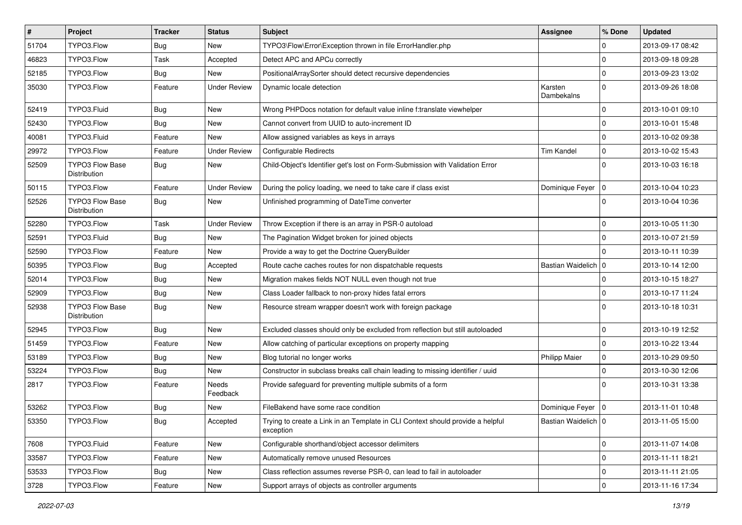| $\sharp$ | Project                                | <b>Tracker</b> | <b>Status</b>       | Subject                                                                                     | <b>Assignee</b>       | % Done       | <b>Updated</b>   |
|----------|----------------------------------------|----------------|---------------------|---------------------------------------------------------------------------------------------|-----------------------|--------------|------------------|
| 51704    | TYPO3.Flow                             | Bug            | New                 | TYPO3\Flow\Error\Exception thrown in file ErrorHandler.php                                  |                       | 0            | 2013-09-17 08:42 |
| 46823    | TYPO3.Flow                             | Task           | Accepted            | Detect APC and APCu correctly                                                               |                       | 0            | 2013-09-18 09:28 |
| 52185    | TYPO3.Flow                             | Bug            | New                 | PositionalArraySorter should detect recursive dependencies                                  |                       | $\Omega$     | 2013-09-23 13:02 |
| 35030    | TYPO3.Flow                             | Feature        | <b>Under Review</b> | Dynamic locale detection                                                                    | Karsten<br>Dambekalns | $\Omega$     | 2013-09-26 18:08 |
| 52419    | TYPO3.Fluid                            | <b>Bug</b>     | New                 | Wrong PHPDocs notation for default value inline f:translate viewhelper                      |                       | $\mathbf 0$  | 2013-10-01 09:10 |
| 52430    | TYPO3.Flow                             | <b>Bug</b>     | New                 | Cannot convert from UUID to auto-increment ID                                               |                       | $\mathbf 0$  | 2013-10-01 15:48 |
| 40081    | TYPO3.Fluid                            | Feature        | New                 | Allow assigned variables as keys in arrays                                                  |                       | $\mathbf 0$  | 2013-10-02 09:38 |
| 29972    | TYPO3.Flow                             | Feature        | <b>Under Review</b> | Configurable Redirects                                                                      | <b>Tim Kandel</b>     | $\mathbf 0$  | 2013-10-02 15:43 |
| 52509    | <b>TYPO3 Flow Base</b><br>Distribution | Bug            | New                 | Child-Object's Identifier get's lost on Form-Submission with Validation Error               |                       | $\Omega$     | 2013-10-03 16:18 |
| 50115    | TYPO3.Flow                             | Feature        | <b>Under Review</b> | During the policy loading, we need to take care if class exist                              | Dominique Feyer   0   |              | 2013-10-04 10:23 |
| 52526    | <b>TYPO3 Flow Base</b><br>Distribution | Bug            | New                 | Unfinished programming of DateTime converter                                                |                       | $\Omega$     | 2013-10-04 10:36 |
| 52280    | TYPO3.Flow                             | Task           | <b>Under Review</b> | Throw Exception if there is an array in PSR-0 autoload                                      |                       | $\mathbf 0$  | 2013-10-05 11:30 |
| 52591    | TYPO3.Fluid                            | Bug            | New                 | The Pagination Widget broken for joined objects                                             |                       | $\mathbf 0$  | 2013-10-07 21:59 |
| 52590    | TYPO3.Flow                             | Feature        | New                 | Provide a way to get the Doctrine QueryBuilder                                              |                       | <sup>0</sup> | 2013-10-11 10:39 |
| 50395    | TYPO3.Flow                             | Bug            | Accepted            | Route cache caches routes for non dispatchable requests                                     | Bastian Waidelich   0 |              | 2013-10-14 12:00 |
| 52014    | TYPO3.Flow                             | <b>Bug</b>     | New                 | Migration makes fields NOT NULL even though not true                                        |                       | 0            | 2013-10-15 18:27 |
| 52909    | TYPO3.Flow                             | Bug            | New                 | Class Loader fallback to non-proxy hides fatal errors                                       |                       | $\mathbf 0$  | 2013-10-17 11:24 |
| 52938    | <b>TYPO3 Flow Base</b><br>Distribution | Bug            | New                 | Resource stream wrapper doesn't work with foreign package                                   |                       | $\Omega$     | 2013-10-18 10:31 |
| 52945    | TYPO3.Flow                             | <b>Bug</b>     | New                 | Excluded classes should only be excluded from reflection but still autoloaded               |                       | $\mathbf 0$  | 2013-10-19 12:52 |
| 51459    | TYPO3.Flow                             | Feature        | New                 | Allow catching of particular exceptions on property mapping                                 |                       | $\mathbf 0$  | 2013-10-22 13:44 |
| 53189    | TYPO3.Flow                             | Bug            | New                 | Blog tutorial no longer works                                                               | <b>Philipp Maier</b>  | $\mathbf 0$  | 2013-10-29 09:50 |
| 53224    | TYPO3.Flow                             | Bug            | <b>New</b>          | Constructor in subclass breaks call chain leading to missing identifier / uuid              |                       | $\Omega$     | 2013-10-30 12:06 |
| 2817     | TYPO3.Flow                             | Feature        | Needs<br>Feedback   | Provide safeguard for preventing multiple submits of a form                                 |                       | 0            | 2013-10-31 13:38 |
| 53262    | TYPO3.Flow                             | <b>Bug</b>     | New                 | FileBakend have some race condition                                                         | Dominique Feyer   0   |              | 2013-11-01 10:48 |
| 53350    | TYPO3.Flow                             | <b>Bug</b>     | Accepted            | Trying to create a Link in an Template in CLI Context should provide a helpful<br>exception | Bastian Waidelich 0   |              | 2013-11-05 15:00 |
| 7608     | TYPO3.Fluid                            | Feature        | New                 | Configurable shorthand/object accessor delimiters                                           |                       | $\mathbf 0$  | 2013-11-07 14:08 |
| 33587    | TYPO3.Flow                             | Feature        | New                 | Automatically remove unused Resources                                                       |                       | $\mathbf 0$  | 2013-11-11 18:21 |
| 53533    | TYPO3.Flow                             | <b>Bug</b>     | New                 | Class reflection assumes reverse PSR-0, can lead to fail in autoloader                      |                       | $\mathbf 0$  | 2013-11-11 21:05 |
| 3728     | TYPO3.Flow                             | Feature        | New                 | Support arrays of objects as controller arguments                                           |                       | $\pmb{0}$    | 2013-11-16 17:34 |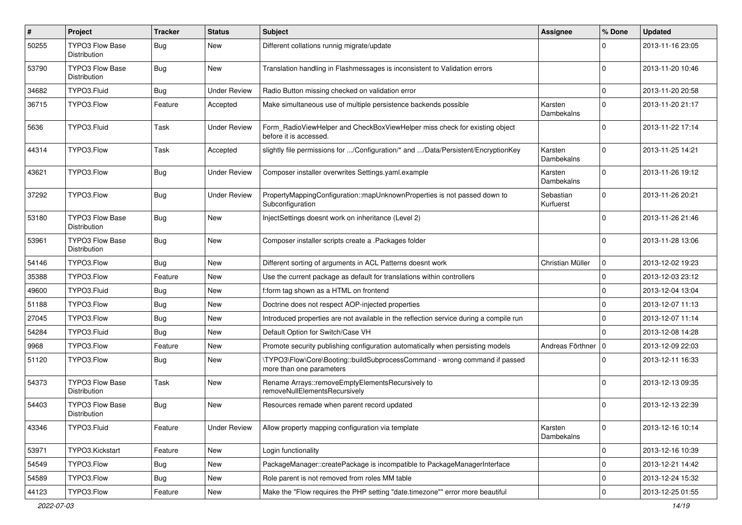| $\sharp$ | Project                                       | <b>Tracker</b> | <b>Status</b>       | Subject                                                                                                | Assignee               | % Done      | <b>Updated</b>   |
|----------|-----------------------------------------------|----------------|---------------------|--------------------------------------------------------------------------------------------------------|------------------------|-------------|------------------|
| 50255    | <b>TYPO3 Flow Base</b><br>Distribution        | Bug            | New                 | Different collations runnig migrate/update                                                             |                        | 0           | 2013-11-16 23:05 |
| 53790    | <b>TYPO3 Flow Base</b><br>Distribution        | Bug            | New                 | Translation handling in Flashmessages is inconsistent to Validation errors                             |                        | $\mathbf 0$ | 2013-11-20 10:46 |
| 34682    | TYPO3.Fluid                                   | Bug            | <b>Under Review</b> | Radio Button missing checked on validation error                                                       |                        | $\mathbf 0$ | 2013-11-20 20:58 |
| 36715    | TYPO3.Flow                                    | Feature        | Accepted            | Make simultaneous use of multiple persistence backends possible                                        | Karsten<br>Dambekalns  | $\mathbf 0$ | 2013-11-20 21:17 |
| 5636     | TYPO3.Fluid                                   | Task           | <b>Under Review</b> | Form_RadioViewHelper and CheckBoxViewHelper miss check for existing object<br>before it is accessed.   |                        | 0           | 2013-11-22 17:14 |
| 44314    | TYPO3.Flow                                    | Task           | Accepted            | slightly file permissions for /Configuration/* and /Data/Persistent/EncryptionKey                      | Karsten<br>Dambekalns  | $\Omega$    | 2013-11-25 14:21 |
| 43621    | TYPO3.Flow                                    | Bug            | <b>Under Review</b> | Composer installer overwrites Settings.yaml.example                                                    | Karsten<br>Dambekalns  | $\Omega$    | 2013-11-26 19:12 |
| 37292    | TYPO3.Flow                                    | Bug            | <b>Under Review</b> | PropertyMappingConfiguration::mapUnknownProperties is not passed down to<br>Subconfiguration           | Sebastian<br>Kurfuerst | $\mathbf 0$ | 2013-11-26 20:21 |
| 53180    | <b>TYPO3 Flow Base</b><br>Distribution        | <b>Bug</b>     | New                 | InjectSettings doesnt work on inheritance (Level 2)                                                    |                        | $\Omega$    | 2013-11-26 21:46 |
| 53961    | <b>TYPO3 Flow Base</b><br><b>Distribution</b> | Bug            | New                 | Composer installer scripts create a .Packages folder                                                   |                        | $\Omega$    | 2013-11-28 13:06 |
| 54146    | TYPO3.Flow                                    | Bug            | New                 | Different sorting of arguments in ACL Patterns doesnt work                                             | Christian Müller       | $\mathbf 0$ | 2013-12-02 19:23 |
| 35388    | TYPO3.Flow                                    | Feature        | New                 | Use the current package as default for translations within controllers                                 |                        | $\mathbf 0$ | 2013-12-03 23:12 |
| 49600    | TYPO3.Fluid                                   | Bug            | New                 | f:form tag shown as a HTML on frontend                                                                 |                        | $\mathbf 0$ | 2013-12-04 13:04 |
| 51188    | TYPO3.Flow                                    | <b>Bug</b>     | New                 | Doctrine does not respect AOP-injected properties                                                      |                        | 0           | 2013-12-07 11:13 |
| 27045    | TYPO3.Flow                                    | Bug            | New                 | Introduced properties are not available in the reflection service during a compile run                 |                        | $\mathbf 0$ | 2013-12-07 11:14 |
| 54284    | TYPO3.Fluid                                   | Bug            | New                 | Default Option for Switch/Case VH                                                                      |                        | 0           | 2013-12-08 14:28 |
| 9968     | TYPO3.Flow                                    | Feature        | New                 | Promote security publishing configuration automatically when persisting models                         | Andreas Förthner       | $\mathbf 0$ | 2013-12-09 22:03 |
| 51120    | TYPO3.Flow                                    | Bug            | New                 | \TYPO3\Flow\Core\Booting::buildSubprocessCommand - wrong command if passed<br>more than one parameters |                        | $\Omega$    | 2013-12-11 16:33 |
| 54373    | TYPO3 Flow Base<br>Distribution               | Task           | New                 | Rename Arrays::removeEmptyElementsRecursively to<br>removeNullElementsRecursively                      |                        | 0           | 2013-12-13 09:35 |
| 54403    | <b>TYPO3 Flow Base</b><br>Distribution        | <b>Bug</b>     | New                 | Resources remade when parent record updated                                                            |                        | 0           | 2013-12-13 22:39 |
| 43346    | TYPO3.Fluid                                   | Feature        | <b>Under Review</b> | Allow property mapping configuration via template                                                      | Karsten<br>Dambekalns  | $\mathbf 0$ | 2013-12-16 10:14 |
| 53971    | TYPO3.Kickstart                               | Feature        | New                 | Login functionality                                                                                    |                        | $\mathbf 0$ | 2013-12-16 10:39 |
| 54549    | TYPO3.Flow                                    | Bug            | New                 | PackageManager::createPackage is incompatible to PackageManagerInterface                               |                        | $\mathbf 0$ | 2013-12-21 14:42 |
| 54589    | TYPO3.Flow                                    | Bug            | New                 | Role parent is not removed from roles MM table                                                         |                        | 0           | 2013-12-24 15:32 |
| 44123    | TYPO3.Flow                                    | Feature        | New                 | Make the "Flow requires the PHP setting "date.timezone"" error more beautiful                          |                        | $\mathbf 0$ | 2013-12-25 01:55 |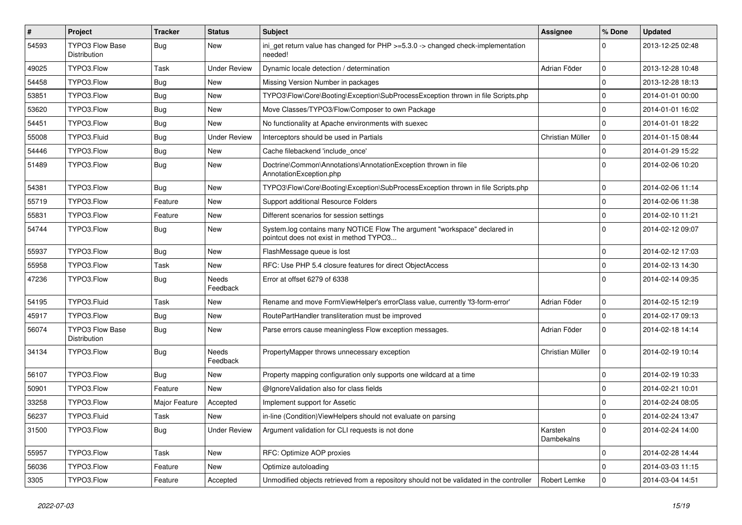| #     | Project                                | <b>Tracker</b> | <b>Status</b>       | <b>Subject</b>                                                                                                       | <b>Assignee</b>       | % Done      | <b>Updated</b>   |
|-------|----------------------------------------|----------------|---------------------|----------------------------------------------------------------------------------------------------------------------|-----------------------|-------------|------------------|
| 54593 | TYPO3 Flow Base<br>Distribution        | Bug            | New                 | ini_get return value has changed for $PHP \ge 5.3.0 \rightarrow$ changed check-implementation<br>needed!             |                       | 0           | 2013-12-25 02:48 |
| 49025 | TYPO3.Flow                             | Task           | <b>Under Review</b> | Dynamic locale detection / determination                                                                             | Adrian Föder          | $\mathbf 0$ | 2013-12-28 10:48 |
| 54458 | TYPO3.Flow                             | <b>Bug</b>     | New                 | Missing Version Number in packages                                                                                   |                       | 0           | 2013-12-28 18:13 |
| 53851 | TYPO3.Flow                             | Bug            | New                 | TYPO3\Flow\Core\Booting\Exception\SubProcessException thrown in file Scripts.php                                     |                       | 0           | 2014-01-01 00:00 |
| 53620 | TYPO3.Flow                             | Bug            | New                 | Move Classes/TYPO3/Flow/Composer to own Package                                                                      |                       | 0           | 2014-01-01 16:02 |
| 54451 | TYPO3.Flow                             | Bug            | New                 | No functionality at Apache environments with suexec                                                                  |                       | $\mathbf 0$ | 2014-01-01 18:22 |
| 55008 | TYPO3.Fluid                            | <b>Bug</b>     | <b>Under Review</b> | Interceptors should be used in Partials                                                                              | Christian Müller      | 0           | 2014-01-15 08:44 |
| 54446 | TYPO3.Flow                             | Bug            | New                 | Cache filebackend 'include_once'                                                                                     |                       | $\mathbf 0$ | 2014-01-29 15:22 |
| 51489 | TYPO3.Flow                             | <b>Bug</b>     | New                 | Doctrine\Common\Annotations\AnnotationException thrown in file<br>AnnotationException.php                            |                       | 0           | 2014-02-06 10:20 |
| 54381 | TYPO3.Flow                             | Bug            | New                 | TYPO3\Flow\Core\Booting\Exception\SubProcessException thrown in file Scripts.php                                     |                       | 0           | 2014-02-06 11:14 |
| 55719 | TYPO3.Flow                             | Feature        | New                 | Support additional Resource Folders                                                                                  |                       | 0           | 2014-02-06 11:38 |
| 55831 | TYPO3.Flow                             | Feature        | New                 | Different scenarios for session settings                                                                             |                       | $\mathbf 0$ | 2014-02-10 11:21 |
| 54744 | TYPO3.Flow                             | Bug            | New                 | System.log contains many NOTICE Flow The argument "workspace" declared in<br>pointcut does not exist in method TYPO3 |                       | $\Omega$    | 2014-02-12 09:07 |
| 55937 | TYPO3.Flow                             | Bug            | New                 | FlashMessage queue is lost                                                                                           |                       | $\mathbf 0$ | 2014-02-12 17:03 |
| 55958 | TYPO3.Flow                             | Task           | New                 | RFC: Use PHP 5.4 closure features for direct ObjectAccess                                                            |                       | 0           | 2014-02-13 14:30 |
| 47236 | TYPO3.Flow                             | Bug            | Needs<br>Feedback   | Error at offset 6279 of 6338                                                                                         |                       | $\Omega$    | 2014-02-14 09:35 |
| 54195 | TYPO3.Fluid                            | Task           | New                 | Rename and move FormViewHelper's errorClass value, currently 'f3-form-error'                                         | Adrian Föder          | $\mathbf 0$ | 2014-02-15 12:19 |
| 45917 | TYPO3.Flow                             | Bug            | New                 | RoutePartHandler transliteration must be improved                                                                    |                       | 0           | 2014-02-17 09:13 |
| 56074 | <b>TYPO3 Flow Base</b><br>Distribution | Bug            | New                 | Parse errors cause meaningless Flow exception messages.                                                              | Adrian Föder          | $\mathbf 0$ | 2014-02-18 14:14 |
| 34134 | TYPO3.Flow                             | Bug            | Needs<br>Feedback   | PropertyMapper throws unnecessary exception                                                                          | Christian Müller      | $\mathbf 0$ | 2014-02-19 10:14 |
| 56107 | TYPO3.Flow                             | Bug            | New                 | Property mapping configuration only supports one wildcard at a time                                                  |                       | 0           | 2014-02-19 10:33 |
| 50901 | TYPO3.Flow                             | Feature        | New                 | @IgnoreValidation also for class fields                                                                              |                       | 0           | 2014-02-21 10:01 |
| 33258 | TYPO3.Flow                             | Major Feature  | Accepted            | Implement support for Assetic                                                                                        |                       | 0           | 2014-02-24 08:05 |
| 56237 | TYPO3.Fluid                            | Task           | New                 | in-line (Condition) ViewHelpers should not evaluate on parsing                                                       |                       | $\Omega$    | 2014-02-24 13:47 |
| 31500 | TYPO3.Flow                             | <b>Bug</b>     | <b>Under Review</b> | Argument validation for CLI requests is not done                                                                     | Karsten<br>Dambekalns | $\mathbf 0$ | 2014-02-24 14:00 |
| 55957 | TYPO3.Flow                             | Task           | New                 | RFC: Optimize AOP proxies                                                                                            |                       | 0           | 2014-02-28 14:44 |
| 56036 | TYPO3.Flow                             | Feature        | New                 | Optimize autoloading                                                                                                 |                       | $\mathbf 0$ | 2014-03-03 11:15 |
| 3305  | TYPO3.Flow                             | Feature        | Accepted            | Unmodified objects retrieved from a repository should not be validated in the controller                             | Robert Lemke          | 0           | 2014-03-04 14:51 |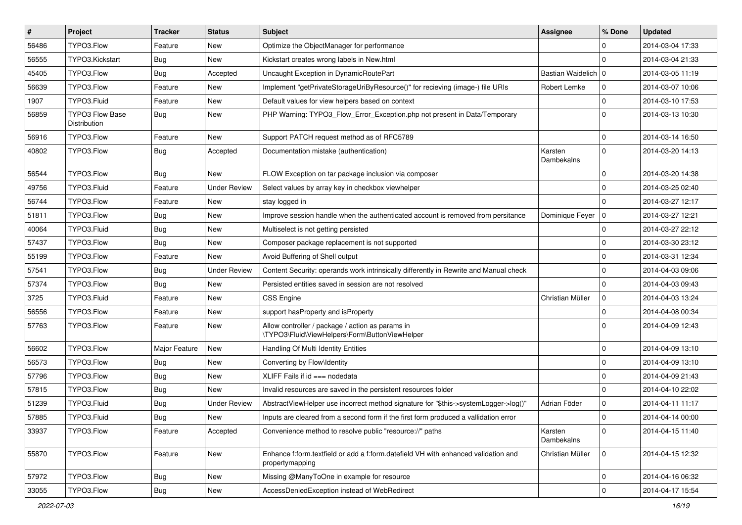| $\vert$ # | <b>Project</b>                         | <b>Tracker</b> | <b>Status</b>       | <b>Subject</b>                                                                                        | <b>Assignee</b>       | % Done      | <b>Updated</b>   |
|-----------|----------------------------------------|----------------|---------------------|-------------------------------------------------------------------------------------------------------|-----------------------|-------------|------------------|
| 56486     | TYPO3.Flow                             | Feature        | New                 | Optimize the ObjectManager for performance                                                            |                       | $\Omega$    | 2014-03-04 17:33 |
| 56555     | TYPO3.Kickstart                        | Bug            | New                 | Kickstart creates wrong labels in New.html                                                            |                       | $\Omega$    | 2014-03-04 21:33 |
| 45405     | TYPO3.Flow                             | Bug            | Accepted            | Uncaught Exception in DynamicRoutePart                                                                | Bastian Waidelich   0 |             | 2014-03-05 11:19 |
| 56639     | TYPO3.Flow                             | Feature        | New                 | Implement "getPrivateStorageUriByResource()" for recieving (image-) file URIs                         | Robert Lemke          | 0           | 2014-03-07 10:06 |
| 1907      | TYPO3.Fluid                            | Feature        | New                 | Default values for view helpers based on context                                                      |                       | $\mathbf 0$ | 2014-03-10 17:53 |
| 56859     | <b>TYPO3 Flow Base</b><br>Distribution | Bug            | New                 | PHP Warning: TYPO3_Flow_Error_Exception.php not present in Data/Temporary                             |                       | $\Omega$    | 2014-03-13 10:30 |
| 56916     | TYPO3.Flow                             | Feature        | New                 | Support PATCH request method as of RFC5789                                                            |                       | $\mathbf 0$ | 2014-03-14 16:50 |
| 40802     | TYPO3.Flow                             | Bug            | Accepted            | Documentation mistake (authentication)                                                                | Karsten<br>Dambekalns | $\mathbf 0$ | 2014-03-20 14:13 |
| 56544     | TYPO3.Flow                             | Bug            | New                 | FLOW Exception on tar package inclusion via composer                                                  |                       | $\mathbf 0$ | 2014-03-20 14:38 |
| 49756     | TYPO3.Fluid                            | Feature        | <b>Under Review</b> | Select values by array key in checkbox viewhelper                                                     |                       | $\mathbf 0$ | 2014-03-25 02:40 |
| 56744     | TYPO3.Flow                             | Feature        | New                 | stay logged in                                                                                        |                       | $\Omega$    | 2014-03-27 12:17 |
| 51811     | TYPO3.Flow                             | Bug            | New                 | Improve session handle when the authenticated account is removed from persitance                      | Dominique Feyer   0   |             | 2014-03-27 12:21 |
| 40064     | TYPO3.Fluid                            | Bug            | New                 | Multiselect is not getting persisted                                                                  |                       | 0           | 2014-03-27 22:12 |
| 57437     | TYPO3.Flow                             | Bug            | New                 | Composer package replacement is not supported                                                         |                       | 0           | 2014-03-30 23:12 |
| 55199     | TYPO3.Flow                             | Feature        | New                 | Avoid Buffering of Shell output                                                                       |                       | $\mathbf 0$ | 2014-03-31 12:34 |
| 57541     | TYPO3.Flow                             | Bug            | <b>Under Review</b> | Content Security: operands work intrinsically differently in Rewrite and Manual check                 |                       | 0           | 2014-04-03 09:06 |
| 57374     | TYPO3.Flow                             | Bug            | New                 | Persisted entities saved in session are not resolved                                                  |                       | $\Omega$    | 2014-04-03 09:43 |
| 3725      | TYPO3.Fluid                            | Feature        | New                 | <b>CSS Engine</b>                                                                                     | Christian Müller      | $\mathbf 0$ | 2014-04-03 13:24 |
| 56556     | TYPO3.Flow                             | Feature        | New                 | support has Property and is Property                                                                  |                       | 0           | 2014-04-08 00:34 |
| 57763     | TYPO3.Flow                             | Feature        | New                 | Allow controller / package / action as params in<br>\TYPO3\Fluid\ViewHelpers\Form\ButtonViewHelper    |                       | $\Omega$    | 2014-04-09 12:43 |
| 56602     | TYPO3.Flow                             | Major Feature  | New                 | Handling Of Multi Identity Entities                                                                   |                       | $\mathbf 0$ | 2014-04-09 13:10 |
| 56573     | TYPO3.Flow                             | Bug            | New                 | Converting by Flow\Identity                                                                           |                       | $\mathbf 0$ | 2014-04-09 13:10 |
| 57796     | TYPO3.Flow                             | Bug            | New                 | XLIFF Fails if $id == node$ nodedata                                                                  |                       | $\mathbf 0$ | 2014-04-09 21:43 |
| 57815     | TYPO3.Flow                             | Bug            | New                 | Invalid resources are saved in the persistent resources folder                                        |                       | $\Omega$    | 2014-04-10 22:02 |
| 51239     | TYPO3.Fluid                            | Bug            | <b>Under Review</b> | AbstractViewHelper use incorrect method signature for "\$this->systemLogger->log()"                   | Adrian Föder          | $\mathbf 0$ | 2014-04-11 11:17 |
| 57885     | TYPO3.Fluid                            | Bug            | New                 | Inputs are cleared from a second form if the first form produced a vallidation error                  |                       | 0           | 2014-04-14 00:00 |
| 33937     | TYPO3.Flow                             | Feature        | Accepted            | Convenience method to resolve public "resource://" paths                                              | Karsten<br>Dambekalns | $\mathbf 0$ | 2014-04-15 11:40 |
| 55870     | TYPO3.Flow                             | Feature        | New                 | Enhance f:form.textfield or add a f:form.datefield VH with enhanced validation and<br>propertymapping | Christian Müller      | 0           | 2014-04-15 12:32 |
| 57972     | TYPO3.Flow                             | <b>Bug</b>     | New                 | Missing @ManyToOne in example for resource                                                            |                       | $\mathbf 0$ | 2014-04-16 06:32 |
| 33055     | TYPO3.Flow                             | <b>Bug</b>     | New                 | AccessDeniedException instead of WebRedirect                                                          |                       | $\mathbf 0$ | 2014-04-17 15:54 |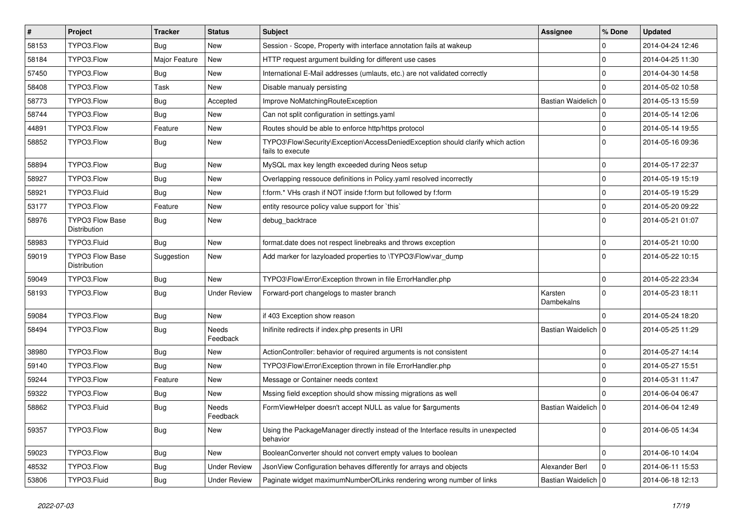| $\vert$ # | Project                                | <b>Tracker</b> | <b>Status</b>       | <b>Subject</b>                                                                                      | <b>Assignee</b>       | % Done      | <b>Updated</b>   |
|-----------|----------------------------------------|----------------|---------------------|-----------------------------------------------------------------------------------------------------|-----------------------|-------------|------------------|
| 58153     | TYPO3.Flow                             | Bug            | New                 | Session - Scope, Property with interface annotation fails at wakeup                                 |                       | 0           | 2014-04-24 12:46 |
| 58184     | TYPO3.Flow                             | Major Feature  | New                 | HTTP request argument building for different use cases                                              |                       | 0           | 2014-04-25 11:30 |
| 57450     | TYPO3.Flow                             | Bug            | New                 | International E-Mail addresses (umlauts, etc.) are not validated correctly                          |                       | 0           | 2014-04-30 14:58 |
| 58408     | TYPO3.Flow                             | Task           | New                 | Disable manualy persisting                                                                          |                       | $\Omega$    | 2014-05-02 10:58 |
| 58773     | TYPO3.Flow                             | Bug            | Accepted            | Improve NoMatchingRouteException                                                                    | Bastian Waidelich   0 |             | 2014-05-13 15:59 |
| 58744     | TYPO3.Flow                             | Bug            | New                 | Can not split configuration in settings.yaml                                                        |                       | 0           | 2014-05-14 12:06 |
| 44891     | TYPO3.Flow                             | Feature        | New                 | Routes should be able to enforce http/https protocol                                                |                       | 0           | 2014-05-14 19:55 |
| 58852     | TYPO3.Flow                             | Bug            | New                 | TYPO3\Flow\Security\Exception\AccessDeniedException should clarify which action<br>fails to execute |                       | $\Omega$    | 2014-05-16 09:36 |
| 58894     | TYPO3.Flow                             | Bug            | New                 | MySQL max key length exceeded during Neos setup                                                     |                       | 0           | 2014-05-17 22:37 |
| 58927     | TYPO3.Flow                             | Bug            | New                 | Overlapping ressouce definitions in Policy.yaml resolved incorrectly                                |                       | 0           | 2014-05-19 15:19 |
| 58921     | TYPO3.Fluid                            | <b>Bug</b>     | New                 | f:form.* VHs crash if NOT inside f:form but followed by f:form                                      |                       | $\mathbf 0$ | 2014-05-19 15:29 |
| 53177     | TYPO3.Flow                             | Feature        | New                 | entity resource policy value support for `this`                                                     |                       | $\mathbf 0$ | 2014-05-20 09:22 |
| 58976     | <b>TYPO3 Flow Base</b><br>Distribution | Bug            | New                 | debug_backtrace                                                                                     |                       | $\Omega$    | 2014-05-21 01:07 |
| 58983     | TYPO3.Fluid                            | Bug            | New                 | format.date does not respect linebreaks and throws exception                                        |                       | $\mathbf 0$ | 2014-05-21 10:00 |
| 59019     | <b>TYPO3 Flow Base</b><br>Distribution | Suggestion     | New                 | Add marker for lazyloaded properties to \TYPO3\Flow\var_dump                                        |                       | $\mathbf 0$ | 2014-05-22 10:15 |
| 59049     | TYPO3.Flow                             | Bug            | <b>New</b>          | TYPO3\Flow\Error\Exception thrown in file ErrorHandler.php                                          |                       | $\mathbf 0$ | 2014-05-22 23:34 |
| 58193     | TYPO3.Flow                             | <b>Bug</b>     | <b>Under Review</b> | Forward-port changelogs to master branch                                                            | Karsten<br>Dambekalns | $\Omega$    | 2014-05-23 18:11 |
| 59084     | TYPO3.Flow                             | Bug            | New                 | if 403 Exception show reason                                                                        |                       | $\Omega$    | 2014-05-24 18:20 |
| 58494     | TYPO3.Flow                             | <b>Bug</b>     | Needs<br>Feedback   | Inifinite redirects if index.php presents in URI                                                    | Bastian Waidelich   0 |             | 2014-05-25 11:29 |
| 38980     | TYPO3.Flow                             | Bug            | New                 | ActionController: behavior of required arguments is not consistent                                  |                       | 0           | 2014-05-27 14:14 |
| 59140     | TYPO3.Flow                             | Bug            | New                 | TYPO3\Flow\Error\Exception thrown in file ErrorHandler.php                                          |                       | 0           | 2014-05-27 15:51 |
| 59244     | TYPO3.Flow                             | Feature        | New                 | Message or Container needs context                                                                  |                       | 0           | 2014-05-31 11:47 |
| 59322     | TYPO3.Flow                             | <b>Bug</b>     | New                 | Mssing field exception should show missing migrations as well                                       |                       | $\Omega$    | 2014-06-04 06:47 |
| 58862     | TYPO3.Fluid                            | <b>Bug</b>     | Needs<br>Feedback   | FormViewHelper doesn't accept NULL as value for \$arguments                                         | Bastian Waidelich   0 |             | 2014-06-04 12:49 |
| 59357     | TYPO3.Flow                             | <b>Bug</b>     | New                 | Using the PackageManager directly instead of the Interface results in unexpected<br>behavior        |                       | $\mathbf 0$ | 2014-06-05 14:34 |
| 59023     | TYPO3.Flow                             | <b>Bug</b>     | New                 | BooleanConverter should not convert empty values to boolean                                         |                       | $\mathbf 0$ | 2014-06-10 14:04 |
| 48532     | TYPO3.Flow                             | <b>Bug</b>     | <b>Under Review</b> | JsonView Configuration behaves differently for arrays and objects                                   | Alexander Berl        | $\mathbf 0$ | 2014-06-11 15:53 |
| 53806     | TYPO3.Fluid                            | Bug            | <b>Under Review</b> | Paginate widget maximumNumberOfLinks rendering wrong number of links                                | Bastian Waidelich   0 |             | 2014-06-18 12:13 |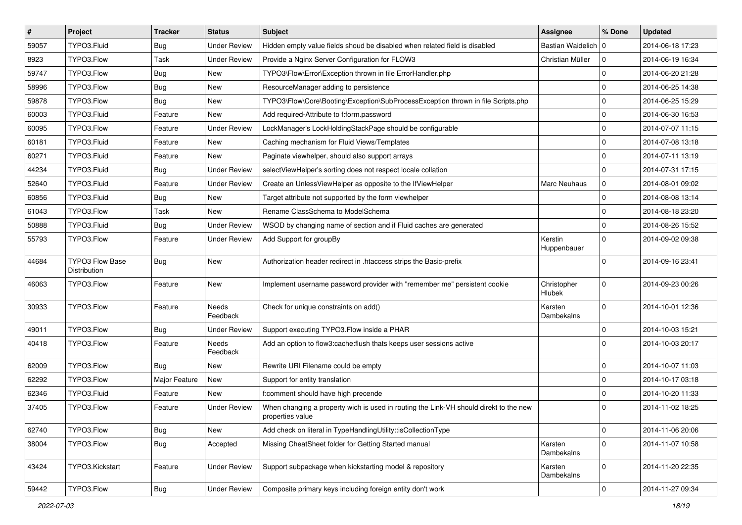| $\pmb{\#}$ | Project                                | <b>Tracker</b> | <b>Status</b>       | Subject                                                                                                   | Assignee                     | % Done       | <b>Updated</b>   |
|------------|----------------------------------------|----------------|---------------------|-----------------------------------------------------------------------------------------------------------|------------------------------|--------------|------------------|
| 59057      | TYPO3.Fluid                            | <b>Bug</b>     | <b>Under Review</b> | Hidden empty value fields shoud be disabled when related field is disabled                                | Bastian Waidelich   0        |              | 2014-06-18 17:23 |
| 8923       | TYPO3.Flow                             | Task           | <b>Under Review</b> | Provide a Nginx Server Configuration for FLOW3                                                            | Christian Müller             | $\mathbf 0$  | 2014-06-19 16:34 |
| 59747      | TYPO3.Flow                             | <b>Bug</b>     | New                 | TYPO3\Flow\Error\Exception thrown in file ErrorHandler.php                                                |                              | $\mathbf 0$  | 2014-06-20 21:28 |
| 58996      | TYPO3.Flow                             | Bug            | New                 | ResourceManager adding to persistence                                                                     |                              | $\mathbf 0$  | 2014-06-25 14:38 |
| 59878      | TYPO3.Flow                             | Bug            | New                 | TYPO3\Flow\Core\Booting\Exception\SubProcessException thrown in file Scripts.php                          |                              | $\mathbf 0$  | 2014-06-25 15:29 |
| 60003      | TYPO3.Fluid                            | Feature        | New                 | Add required-Attribute to f:form.password                                                                 |                              | $\mathbf 0$  | 2014-06-30 16:53 |
| 60095      | TYPO3.Flow                             | Feature        | <b>Under Review</b> | LockManager's LockHoldingStackPage should be configurable                                                 |                              | $\mathbf 0$  | 2014-07-07 11:15 |
| 60181      | TYPO3.Fluid                            | Feature        | New                 | Caching mechanism for Fluid Views/Templates                                                               |                              | 0            | 2014-07-08 13:18 |
| 60271      | TYPO3.Fluid                            | Feature        | New                 | Paginate viewhelper, should also support arrays                                                           |                              | $\mathbf 0$  | 2014-07-11 13:19 |
| 44234      | TYPO3.Fluid                            | Bug            | <b>Under Review</b> | selectViewHelper's sorting does not respect locale collation                                              |                              | $\mathbf 0$  | 2014-07-31 17:15 |
| 52640      | TYPO3.Fluid                            | Feature        | Under Review        | Create an UnlessViewHelper as opposite to the IfViewHelper                                                | Marc Neuhaus                 | $\mathbf 0$  | 2014-08-01 09:02 |
| 60856      | TYPO3.Fluid                            | Bug            | New                 | Target attribute not supported by the form viewhelper                                                     |                              | $\mathbf 0$  | 2014-08-08 13:14 |
| 61043      | TYPO3.Flow                             | Task           | New                 | Rename ClassSchema to ModelSchema                                                                         |                              | $\mathbf 0$  | 2014-08-18 23:20 |
| 50888      | TYPO3.Fluid                            | <b>Bug</b>     | <b>Under Review</b> | WSOD by changing name of section and if Fluid caches are generated                                        |                              | $\mathbf 0$  | 2014-08-26 15:52 |
| 55793      | TYPO3.Flow                             | Feature        | <b>Under Review</b> | Add Support for groupBy                                                                                   | Kerstin<br>Huppenbauer       | $\Omega$     | 2014-09-02 09:38 |
| 44684      | <b>TYPO3 Flow Base</b><br>Distribution | Bug            | New                 | Authorization header redirect in .htaccess strips the Basic-prefix                                        |                              | $\Omega$     | 2014-09-16 23:41 |
| 46063      | TYPO3.Flow                             | Feature        | New                 | Implement username password provider with "remember me" persistent cookie                                 | Christopher<br><b>Hlubek</b> | $\mathbf 0$  | 2014-09-23 00:26 |
| 30933      | TYPO3.Flow                             | Feature        | Needs<br>Feedback   | Check for unique constraints on add()                                                                     | Karsten<br>Dambekalns        | $\Omega$     | 2014-10-01 12:36 |
| 49011      | TYPO3.Flow                             | <b>Bug</b>     | <b>Under Review</b> | Support executing TYPO3.Flow inside a PHAR                                                                |                              | $\mathbf 0$  | 2014-10-03 15:21 |
| 40418      | TYPO3.Flow                             | Feature        | Needs<br>Feedback   | Add an option to flow3:cache: flush thats keeps user sessions active                                      |                              | $\Omega$     | 2014-10-03 20:17 |
| 62009      | TYPO3.Flow                             | Bug            | New                 | Rewrite URI Filename could be empty                                                                       |                              | $\mathbf 0$  | 2014-10-07 11:03 |
| 62292      | TYPO3.Flow                             | Major Feature  | New                 | Support for entity translation                                                                            |                              | $\mathbf 0$  | 2014-10-17 03:18 |
| 62346      | TYPO3.Fluid                            | Feature        | New                 | f:comment should have high precende                                                                       |                              | $\mathbf 0$  | 2014-10-20 11:33 |
| 37405      | TYPO3.Flow                             | Feature        | <b>Under Review</b> | When changing a property wich is used in routing the Link-VH should direkt to the new<br>properties value |                              | $\Omega$     | 2014-11-02 18:25 |
| 62740      | TYPO3.Flow                             | <b>Bug</b>     | New                 | Add check on literal in TypeHandlingUtility::isCollectionType                                             |                              | 0            | 2014-11-06 20:06 |
| 38004      | TYPO3.Flow                             | <b>Bug</b>     | Accepted            | Missing CheatSheet folder for Getting Started manual                                                      | Karsten<br>Dambekalns        | 0            | 2014-11-07 10:58 |
| 43424      | TYPO3.Kickstart                        | Feature        | <b>Under Review</b> | Support subpackage when kickstarting model & repository                                                   | Karsten<br>Dambekalns        | $\mathsf{O}$ | 2014-11-20 22:35 |
| 59442      | TYPO3.Flow                             | Bug            | <b>Under Review</b> | Composite primary keys including foreign entity don't work                                                |                              | $\pmb{0}$    | 2014-11-27 09:34 |